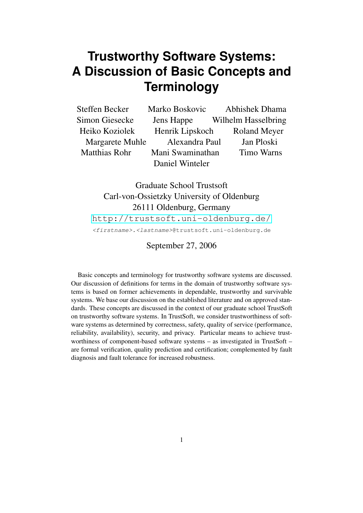# **Trustworthy Software Systems: A Discussion of Basic Concepts and Terminology**

| Steffen Becker       | Marko Boskovic   | <b>Abhishek Dhama</b> |
|----------------------|------------------|-----------------------|
| Simon Giesecke       | Jens Happe       | Wilhelm Hasselbring   |
| Heiko Koziolek       | Henrik Lipskoch  | <b>Roland Meyer</b>   |
| Margarete Muhle      | Alexandra Paul   | Jan Ploski            |
| <b>Matthias Rohr</b> | Mani Swaminathan | <b>Timo Warns</b>     |
|                      | Daniel Winteler  |                       |

Graduate School Trustsoft Carl-von-Ossietzky University of Oldenburg 26111 Oldenburg, Germany

http://trustsoft.uni-oldenburg.de/

<firstname>.<lastname>@trustsoft.uni-oldenburg.de

## [September 27, 2006](http://trustsoft.uni-oldenburg.de/)

Basic concepts and terminology for trustworthy software systems are discussed. Our discussion of definitions for terms in the domain of trustworthy software systems is based on former achievements in dependable, trustworthy and survivable systems. We base our discussion on the established literature and on approved standards. These concepts are discussed in the context of our graduate school TrustSoft on trustworthy software systems. In TrustSoft, we consider trustworthiness of software systems as determined by correctness, safety, quality of service (performance, reliability, availability), security, and privacy. Particular means to achieve trustworthiness of component-based software systems – as investigated in TrustSoft – are formal verification, quality prediction and certification; complemented by fault diagnosis and fault tolerance for increased robustness.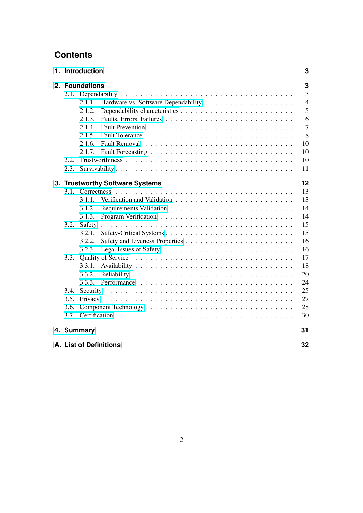## **Contents**

|      | 1. Introduction |                                 | 3              |  |  |
|------|-----------------|---------------------------------|----------------|--|--|
|      | 2. Foundations  |                                 |                |  |  |
|      |                 |                                 | $\overline{3}$ |  |  |
|      | 2.1.1.          |                                 | $\overline{4}$ |  |  |
|      | 2.1.2.          |                                 | 5              |  |  |
|      | 2.1.3.          |                                 | 6              |  |  |
|      | 2.1.4.          |                                 | $\overline{7}$ |  |  |
|      | 2.1.5.          |                                 | 8              |  |  |
|      | 2.1.6.          |                                 | 10             |  |  |
|      | 2.1.7.          |                                 | 10             |  |  |
| 2.2. |                 |                                 | 10             |  |  |
| 2.3. |                 |                                 | 11             |  |  |
|      |                 | 3. Trustworthy Software Systems | 12             |  |  |
|      |                 |                                 | 13             |  |  |
|      | 3.1.1.          |                                 | 13             |  |  |
|      | 3.1.2.          |                                 | 14             |  |  |
|      | 3.1.3.          |                                 | 14             |  |  |
| 3.2. | Safety          |                                 | 15             |  |  |
|      | 3.2.1.          |                                 | 15             |  |  |
|      | 3.2.2.          |                                 | 16             |  |  |
|      | 3.2.3.          |                                 | 16             |  |  |
| 3.3. |                 |                                 | 17             |  |  |
|      | 3.3.1.          |                                 | 18             |  |  |
|      | 3.3.2.          |                                 | 20             |  |  |
|      | 3.3.3.          |                                 | 24             |  |  |
| 3.4. |                 |                                 | 25             |  |  |
| 3.5. |                 |                                 | 27             |  |  |
| 3.6. |                 |                                 | 28             |  |  |
| 3.7. |                 |                                 | 30             |  |  |
|      | 4. Summary      |                                 | 31             |  |  |
|      |                 | A. List of Definitions          | 32             |  |  |
|      |                 |                                 |                |  |  |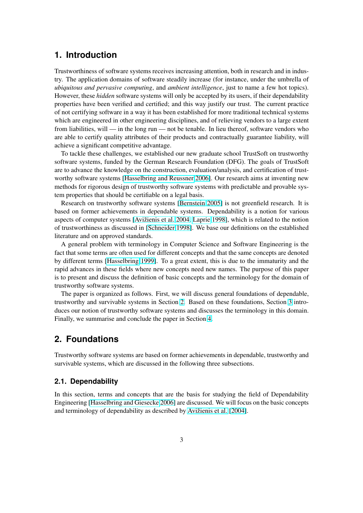## <span id="page-2-0"></span>**1. Introduction**

Trustworthiness of software systems receives increasing attention, both in research and in industry. The application domains of software steadily increase (for instance, under the umbrella of *ubiquitous and pervasive computing*, and *ambient intelligence*, just to name a few hot topics). However, these *hidden* software systems will only be accepted by its users, if their dependability properties have been verified and certified; and this way justify our trust. The current practice of not certifying software in a way it has been established for more traditional technical systems which are engineered in other engineering disciplines, and of relieving vendors to a large extent from liabilities, will — in the long run — not be tenable. In lieu thereof, software vendors who are able to certify quality attributes of their products and contractually guarantee liability, will achieve a significant competitive advantage.

To tackle these challenges, we established our new graduate school TrustSoft on trustworthy software systems, funded by the German Research Foundation (DFG). The goals of TrustSoft are to advance the knowledge on the construction, evaluation/analysis, and certification of trustworthy software systems [Hasselbring and Reussner 2006]. Our research aims at inventing new methods for rigorous design of trustworthy software systems with predictable and provable system properties that should be certifiable on a legal basis.

Research on trustworthy software systems [Bernstein 2005] is not greenfield research. It is based on former achieve[ments in dependable systems. D](#page-37-0)ependability is a notion for various aspects of computer systems [Avižienis et al. 2004, Laprie 1998], which is related to the notion of trustworthiness as discussed in [Schneider [1998\]. We base o](#page-36-0)ur definitions on the established literature and on approved standards.

A general problem with terminology in Computer Science and Software Engineering is the fact that some terms are often [used for different con](#page-36-0)[cepts and that](#page-38-0) the same concepts are denoted by different terms [Hasselbring 19[99\]. To a great e](#page-39-0)xtent, this is due to the immaturity and the rapid advances in these fields where new concepts need new names. The purpose of this paper is to present and discuss the definition of basic concepts and the terminology for the domain of trustworthy software systems.

The paper is org[anized as follows.](#page-37-0) First, we will discuss general foundations of dependable, trustworthy and survivable systems in Section 2. Based on these foundations, Section 3 introduces our notion of trustworthy software systems and discusses the terminology in this domain. Finally, we summarise and conclude the paper in Section 4.

## **2. Foundations**

Trustworthy software systems are based on former achiev[em](#page-30-0)ents in dependable, trustworthy and survivable systems, which are discussed in the following three subsections.

## **2.1. Dependability**

In this section, terms and concepts that are the basis for studying the field of Dependability Engineering [Hasselbring and Giesecke 2006] are discussed. We will focus on the basic concepts and terminology of dependability as described by Avižienis et al. [2004].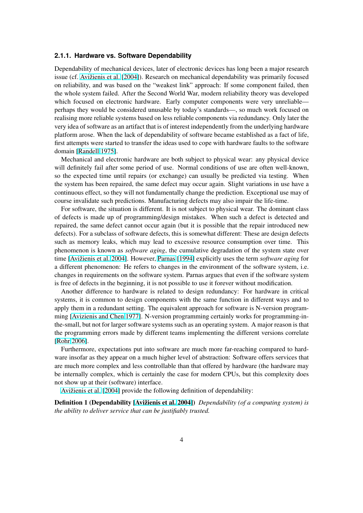#### <span id="page-3-0"></span>**2.1.1. Hardware vs. Software Dependability**

Dependability of mechanical devices, later of electronic devices has long been a major research issue (cf. Avižienis et al. [2004]). Research on mechanical dependability was primarily focused on reliability, and was based on the "weakest link" approach: If some component failed, then the whole system failed. After the Second World War, modern reliability theory was developed which focused on electronic hardware. Early computer components were very unreliable perhaps t[hey would be consider](#page-36-0)ed unusable by today's standards—, so much work focused on realising more reliable systems based on less reliable components via redundancy. Only later the very idea of software as an artifact that is of interest independently from the underlying hardware platform arose. When the lack of dependability of software became established as a fact of life, first attempts were started to transfer the ideas used to cope with hardware faults to the software domain [Randell 1975].

Mechanical and electronic hardware are both subject to physical wear: any physical device will definitely fail after some period of use. Normal conditions of use are often well-known, so the expected time until repairs (or exchange) can usually be predicted via testing. When the syst[em has been re](#page-39-0)paired, the same defect may occur again. Slight variations in use have a continuous effect, so they will not fundamentally change the prediction. Exceptional use may of course invalidate such predictions. Manufacturing defects may also impair the life-time.

For software, the situation is different. It is not subject to physical wear. The dominant class of defects is made up of programming/design mistakes. When such a defect is detected and repaired, the same defect cannot occur again (but it is possible that the repair introduced new defects). For a subclass of software defects, this is somewhat different: These are design defects such as memory leaks, which may lead to excessive resource consumption over time. This phenomenon is known as *software aging*, the cumulative degradation of the system state over time [Avižienis et al. 2004]. However, Parnas [1994] explicitly uses the term *software aging* for a different phenomenon: He refers to changes in the environment of the software system, i.e. changes in requirements on the software system. Parnas argues that even if the software system is free of defects in the beginning, it is not possible to use it forever without modification.

An[other difference to h](#page-36-0)ardware is [related to des](#page-39-0)ign redundancy: For hardware in critical systems, it is common to design components with the same function in different ways and to apply them in a redundant setting. The equivalent approach for software is N-version programming [Avizienis and Chen 1977]. N-version programming certainly works for programming-inthe-small, but not for larger software systems such as an operating system. A major reason is that the programming errors made by different teams implementing the different versions correlate [Rohr 2006].

Fur[thermore, expectations pu](#page-36-0)t into software are much more far-reaching compared to hardware insofar as they appear on a much higher level of abstraction: Software offers services that are much more complex and less controllable than that offered by hardware (the hardware may [be internally](#page-39-0) complex, which is certainly the case for modern CPUs, but this complexity does not show up at their (software) interface.

Avižienis et al. [2004] provide the following definition of dependability:

Definition 1 (Dependability [Avižienis et al. 2004]) *Dependability (of a computing system) is the ability to deliver service that can be justifiably trusted.*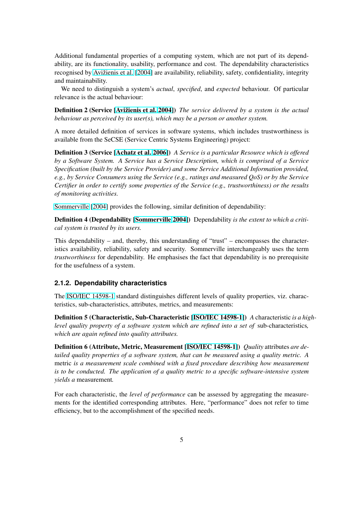<span id="page-4-0"></span>Additional fundamental properties of a computing system, which are not part of its dependability, are its functionality, usability, performance and cost. The dependability characteristics recognised by Avižienis et al. [2004] are availability, reliability, safety, confidentiality, integrity and maintainability.

We need to distinguish a system's *actual*, *specified*, and *expected* behaviour. Of particular relevance is th[e actual behaviour:](#page-36-0)

Definition 2 (Service [Avižienis et al. 2004]) *The service delivered by a system is the actual behaviour as perceived by its user(s), which may be a person or another system.*

A more detailed definition of services in software systems, which includes trustworthiness is available from the Se[CSE \(Service Centric S](#page-36-0)ystems Engineering) project:

Definition 3 (Service [Achatz et al. 2006]) *A Service is a particular Resource which is offered by a Software System. A Service has a Service Description, which is comprised of a Service Specification (built by the Service Provider) and some Service Additional Information provided, e.g., by Service Consumers using the Service (e.g., ratings and measured QoS) or by the Service Certifier in order to c[ertify some propertie](#page-36-0)s of the Service (e.g., trustworthiness) or the results of monitoring activities.*

Sommerville [2004] provides the following, similar definition of dependability:

Definition 4 (Dependability [Sommerville 2004]) Dependability *is the extent to which a critical system is trusted by its users.*

[This dependability](#page-39-0) – and, thereby, this understanding of "trust" – encompasses the characteristics availability, reliability, [safety and security.](#page-39-0) Sommerville interchangeably uses the term *trustworthiness* for dependability. He emphasises the fact that dependability is no prerequisite for the usefulness of a system.

#### **2.1.2. Dependability characteristics**

The ISO/IEC 14598-1 standard distinguishes different levels of quality properties, viz. characteristics, sub-characteristics, attributes, metrics, and measurements:

Definition 5 (Characteristic, Sub-Characteristic [ISO/IEC 14598-1]) *A* characteristic *is a highleve[l quality property o](#page-38-0)f a software system which are refined into a set of* sub-characteristics*, which are again refined into quality attributes.*

Definition 6 (Attribute, Metric, Measurement [I[SO/IEC 14598-1\]\)](#page-38-0) *Quality* attributes *are detailed quality properties of a software system, that can be measured using a quality metric. A* metric *is a measurement scale combined with a fixed procedure describing how measurement is to be conducted. The application of a quality [metric to a specific](#page-38-0) software-intensive system yields a* measurement*.*

For each characteristic, the *level of performance* can be assessed by aggregating the measurements for the identified corresponding attributes. Here, "performance" does not refer to time efficiency, but to the accomplishment of the specified needs.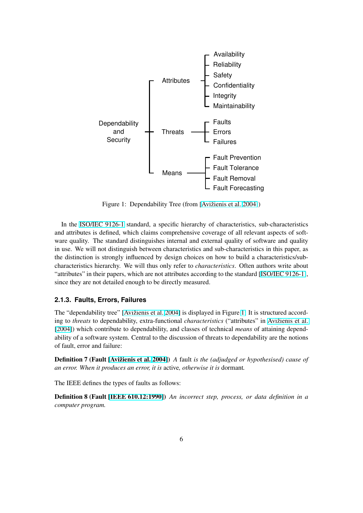<span id="page-5-0"></span>

Figure 1: Dependability Tree (from [Avižienis et al. 2004])

In the ISO/IEC 9126-1 standard, a specific hierarchy of characteristics, sub-characteristics and attributes is defined, which claims comprehensive [coverage of all relev](#page-36-0)ant aspects of software quality. The standard distinguishes internal and external quality of software and quality in use. We will not distinguish between characteristics and sub-characteristics in this paper, as the disti[nction is strongly](#page-38-0) influenced by design choices on how to build a characteristics/subcharacteristics hierarchy. We will thus only refer to *characteristics*. Often authors write about "attributes" in their papers, which are not attributes according to the standard [ISO/IEC 9126-1], since they are not detailed enough to be directly measured.

### **2.1.3. Faults, Errors, Failures**

The "dependability tree" [Avižienis et al. 2004] is displayed in Figure 1: It is structured according to *threats* to dependability, extra-functional *characteristics* ("attributes" in Avižienis et al. [2004]) which contribute to dependability, and classes of technical *means* of attaining dependability of a software syste[m. Central to the disc](#page-36-0)ussion of threats to dependability are the notions of fault, error and failure:

[Defini](#page-36-0)tion 7 (Fault [Avižienis et al. 2004]) *A* fault *is the (adjudged or hypothesised) cause of an error. When it produces an error, it is* active*, otherwise it is* dormant*.*

The IEEE defines the types of faults as follows:

Definition 8 (Fault [IEEE 610.12:1990]) *An incorrect step, process, or data definition in a computer program.*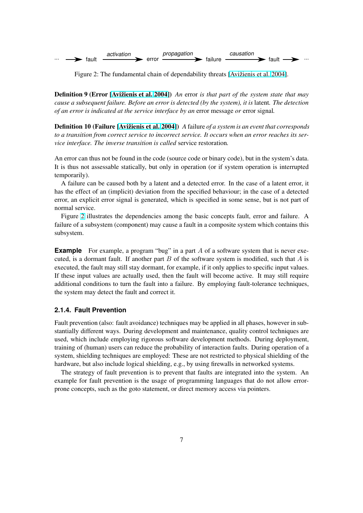<span id="page-6-0"></span>

Figure 2: The fundamental chain of dependability threats [Avižienis et al. 2004].

Definition 9 (Error [Avižienis et al. 2004]) *An* error *is that part of the system state that may cause a subsequent failure. Before an error is detected (by the sys[tem\), it is](#page-36-0)* latent*. [The d](#page-36-0)etection of an error is indicated at the service interface by an* error message *or* error signal*.*

Definition 10 (Failu[re \[Avižienis et a](#page-36-0)l. [20](#page-36-0)04]) *A* failure *of a system is an event that corresponds to a transition from correct service to incorrect service. It occurs when an error reaches its service interface. The inverse transition is called* service restoration*.*

An error can thus not be [found in the code \(sou](#page-36-0)rce code or binary code), but in the system's data. It is thus not assessable statically, but only in operation (or if system operation is interrupted temporarily).

A failure can be caused both by a latent and a detected error. In the case of a latent error, it has the effect of an (implicit) deviation from the specified behaviour; in the case of a detected error, an explicit error signal is generated, which is specified in some sense, but is not part of normal service.

Figure 2 illustrates the dependencies among the basic concepts fault, error and failure. A failure of a subsystem (component) may cause a fault in a composite system which contains this subsystem.

**Example** For example, a program "bug" in a part A of a software system that is never executed, is a dormant fault. If another part  $B$  of the software system is modified, such that  $A$  is executed, the fault may still stay dormant, for example, if it only applies to specific input values. If these input values are actually used, then the fault will become active. It may still require additional conditions to turn the fault into a failure. By employing fault-tolerance techniques, the system may detect the fault and correct it.

### **2.1.4. Fault Prevention**

Fault prevention (also: fault avoidance) techniques may be applied in all phases, however in substantially different ways. During development and maintenance, quality control techniques are used, which include employing rigorous software development methods. During deployment, training of (human) users can reduce the probability of interaction faults. During operation of a system, shielding techniques are employed: These are not restricted to physical shielding of the hardware, but also include logical shielding, e.g., by using firewalls in networked systems.

The strategy of fault prevention is to prevent that faults are integrated into the system. An example for fault prevention is the usage of programming languages that do not allow errorprone concepts, such as the goto statement, or direct memory access via pointers.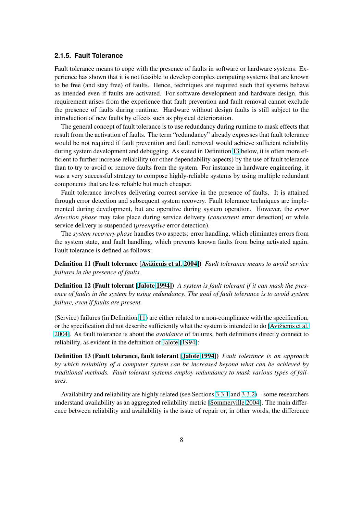#### <span id="page-7-0"></span>**2.1.5. Fault Tolerance**

Fault tolerance means to cope with the presence of faults in software or hardware systems. Experience has shown that it is not feasible to develop complex computing systems that are known to be free (and stay free) of faults. Hence, techniques are required such that systems behave as intended even if faults are activated. For software development and hardware design, this requirement arises from the experience that fault prevention and fault removal cannot exclude the presence of faults during runtime. Hardware without design faults is still subject to the introduction of new faults by effects such as physical deterioration.

The general concept of fault tolerance is to use redundancy during runtime to mask effects that result from the activation of faults. The term "redundancy" already expresses that fault tolerance would be not required if fault prevention and fault removal would achieve sufficient reliability during system development and debugging. As stated in Definition 13 below, it is often more efficient to further increase reliability (or other dependability aspects) by the use of fault tolerance than to try to avoid or remove faults from the system. For instance in hardware engineering, it was a very successful strategy to compose highly-reliable systems by using multiple redundant components that are less reliable but much cheaper.

Fault tolerance involves delivering correct service in the presence of faults. It is attained through error detection and subsequent system recovery. Fault tolerance techniques are implemented during development, but are operative during system operation. However, the *error detection phase* may take place during service delivery (*concurrent* error detection) or while service delivery is suspended (*preemptive* error detection).

The *system recovery phase* handles two aspects: error handling, which eliminates errors from the system state, and fault handling, which prevents known faults from being activated again. Fault tolerance is defined as follows:

Definition 11 (Fault tolerance [Avižienis et al. 2004]) *Fault tolerance means to avoid service failures in the presence of faults.*

Definition 12 (Fault tolerant [Jalote 1994]) *A system is fault tolerant if it can mask the presence of faults in the system by u[sing redundancy. The](#page-36-0) goal of fault tolerance is to avoid system failure, even if faults are present.*

(Service) failures (in Definition [11\) are eithe](#page-38-0)r related to a non-compliance with the specification, or the specification did not describe sufficiently what the system is intended to do [Avižienis et al. 2004]. As fault tolerance is about the *avoidance* of failures, both definitions directly connect to reliability, as evident in the definition of Jalote [1994]:

Definition 13 (Fault tolerance, fault tolerant [Jalote 1994]) *Fault tolerance i[s an approach](#page-36-0) [by wh](#page-36-0)ich reliability of a computer system can be increased beyond what can be achieved by traditional methods. Fault tolerant sys[tems employ r](#page-38-0)edundancy to mask various types of failures.*

Availability and reliability are highly related (see Sections 3.3.1 and 3.3.2) – some researchers understand availability as an aggregated reliability metric [Sommerville 2004]. The main difference between reliability and availability is the issue of repair or, in other words, the difference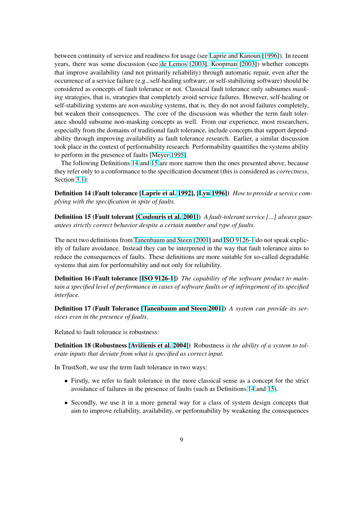between continuity of service and readiness for usage (see Laprie and Kanoun [1996]). In recent years, there was some discussion (see de Lemos [2003], Koopman [2003]) whether concepts that improve availability (and not primarily reliability) through automatic repair, even after the occurrence of a service failure (e.g., self-healing software, or self-stabilizing software) should be considered as concepts of fault tolerance or not. Classica[l fault tolerance only subsu](#page-38-0)mes *masking* strategies, that is, strategies that co[mpletely avoid ser](#page-37-0)v[ice failures](#page-38-0). [How](#page-38-0)ever, self-healing or self-stabilizing systems are *non-masking* systems, that is, they do not avoid failures completely, but weaken their consequences. The core of the discussion was whether the term fault tolerance should subsume non-masking concepts as well. From our experience, most researchers, especially from the domains of traditional fault tolerance, include concepts that support dependability through improving availability as fault tolerance research. Earlier, a similar discussion took place in the context of performability research. Performability quantifies the systems ability to perform in the presence of faults [Meyer 1995].

The following Definitions 14 and 15 are more narrow then the ones presented above, because they refer only to a conformance to the specification document (this is considered as *correctness*, Section 3.1):

Definition 14 (Fault tolerance [Laprie et al. 1992], [Lyu 1996]) *How to provide a service complying with the specification in spite of faults.*

Definition 15 (Fault tolerant [Coulouris et al. 2001]) *A fault-tolerant service [...] always guarantees strictly correct behavior [despite a certain nu](#page-38-0)m[ber and typ](#page-39-0)e of faults.*

The next two definitions from Tanenbaum and Steen [2001] and ISO 9126-1 do not speak explicitly of failure avoidance. Inste[ad they can be interpre](#page-37-0)ted in the way that fault tolerance aims to reduce the consequences of faults. These definitions are more suitable for so-called degradable systems that aim for perform[ability and not only for](#page-39-0) [reliabi](#page-39-0)lity.

Definition 16 (Fault tolerance [ISO 9126-1]) *The capability of the software product to maintain a specified level of performance in cases of software faults or of infringement of its specified interface.*

Definition 17 (Fault Tolerance [\[Tanenbaum](#page-38-0) and Steen 2001]) *A system can provide its services even in the presence of faults.*

Related to fault tolerance is robustness:

Definition 18 (Robustness [Avižienis et al. 2004]) Robustness *is the ability of a system to tolerate inputs that deviate from what is specified as correct input.*

In TrustSoft, we use the term fault tolerance in two ways:

- Firstly, we refer to fa[ult tolerance in the m](#page-36-0)ore classical sense as a concept for the strict avoidance of failures in the presence of faults (such as Definitions 14 and 15).
- Secondly, we use it in a more general way for a class of system design concepts that aim to improve reliability, availability, or performability by weakening the consequences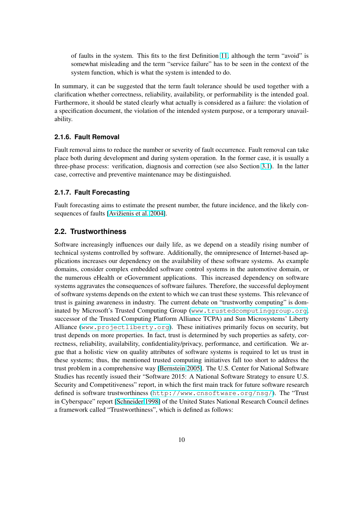<span id="page-9-0"></span>of faults in the system. This fits to the first Definition 11, although the term "avoid" is somewhat misleading and the term "service failure" has to be seen in the context of the system function, which is what the system is intended to do.

In summary, it can be suggested that the term fault toleranc[e sh](#page-7-0)ould be used together with a clarification whether correctness, reliability, availability, or performability is the intended goal. Furthermore, it should be stated clearly what actually is considered as a failure: the violation of a specification document, the violation of the intended system purpose, or a temporary unavailability.

#### **2.1.6. Fault Removal**

Fault removal aims to reduce the number or severity of fault occurrence. Fault removal can take place both during development and during system operation. In the former case, it is usually a three-phase process: verification, diagnosis and correction (see also Section 3.1). In the latter case, corrective and preventive maintenance may be distinguished.

## **2.1.7. Fault Forecasting**

Fault forecasting aims to estimate the present number, the future incidence, and the likely consequences of faults [Avižienis et al. 2004].

## **2.2. Trustworthiness**

Software increasing[ly influences our dai](#page-36-0)ly life, as we depend on a steadily rising number of technical systems controlled by software. Additionally, the omnipresence of Internet-based applications increases our dependency on the availability of these software systems. As example domains, consider complex embedded software control systems in the automotive domain, or the numerous eHealth or eGovernment applications. This increased dependency on software systems aggravates the consequences of software failures. Therefore, the successful deployment of software systems depends on the extent to which we can trust these systems. This relevance of trust is gaining awareness in industry. The current debate on "trustworthy computing" is dominated by Microsoft's Trusted Computing Group (www.trustedcomputinggroup.org, successor of the Trusted Computing Platform Alliance TCPA) and Sun Microsystems' Liberty Alliance (www.projectliberty.org). These initiatives primarily focus on security, but trust depends on more properties. In fact, trust is determined by such properties as safety, correctness, reliability, availability, confidentiality/pri[vacy, performance, and certification. We ar](www.trustedcomputinggroup.org)gue that a holistic view on quality attributes of software systems is required to let us trust in these syst[ems; thus, the mentioned trusted](www.projectliberty.org) computing initiatives fall too short to address the trust problem in a comprehensive way [Bernstein 2005]. The U.S. Center for National Software Studies has recently issued their "Software 2015: A National Software Strategy to ensure U.S. Security and Competitiveness" report, in which the first main track for future software research defined is software trustworthiness (http://www.cnsoftware.org/nsg/). The "Trust in Cyberspace" report [Schneider 1998[\] of the United S](#page-36-0)tates National Research Council defines a framework called "Trustworthiness", which is defined as follows: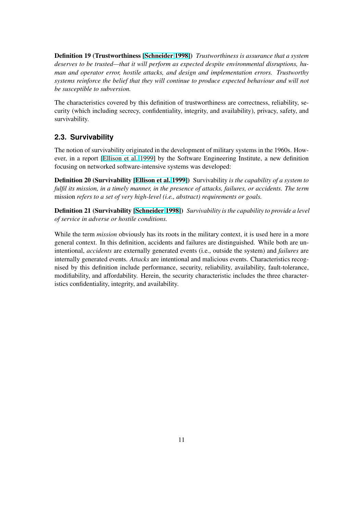<span id="page-10-0"></span>Definition 19 (Trustworthiness [Schneider 1998]) *Trustworthiness is assurance that a system deserves to be trusted—that it will perform as expected despite environmental disruptions, human and operator error, hostile attacks, and design and implementation errors. Trustworthy systems reinforce the belief that t[hey will continue](#page-39-0) to produce expected behaviour and will not be susceptible to subversion.*

The characteristics covered by this definition of trustworthiness are correctness, reliability, security (which including secrecy, confidentiality, integrity, and availability), privacy, safety, and survivability.

## **2.3. Survivability**

The notion of survivability originated in the development of military systems in the 1960s. However, in a report [Ellison et al. 1999] by the Software Engineering Institute, a new definition focusing on networked software-intensive systems was developed:

Definition 20 (Survivability [Ellison et al. 1999]) Survivability *is the capability of a system to fulfil its mission, i[n a timely manner, i](#page-37-0)n the presence of attacks, failures, or accidents. The term* mission *refers to a set of very high-level (i.e., abstract) requirements or goals.*

Definition 21 (Survivability [\[Schneider](#page-37-0) 1[998\]\)](#page-37-0) *Survivability is the capability to provide a level of service in adverse or hostile conditions.*

While the term *mission* obviously has its roots in the military context, it is used here in a more general context. In this defini[tion, accidents an](#page-39-0)d failures are distinguished. While both are unintentional, *accidents* are externally generated events (i.e., outside the system) and *failures* are internally generated events. *Attacks* are intentional and malicious events. Characteristics recognised by this definition include performance, security, reliability, availability, fault-tolerance, modifiability, and affordability. Herein, the security characteristic includes the three characteristics confidentiality, integrity, and availability.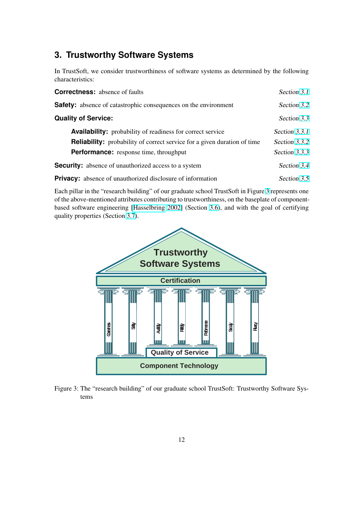## <span id="page-11-0"></span>**3. Trustworthy Software Systems**

In TrustSoft, we consider trustworthiness of software systems as determined by the following characteristics:

| <b>Correctness:</b> absence of faults                                           | Section 3.1   |
|---------------------------------------------------------------------------------|---------------|
| <b>Safety:</b> absence of catastrophic consequences on the environment          | Section 3.2   |
| <b>Quality of Service:</b>                                                      | Section 3.3   |
| <b>Availability:</b> probability of readiness for correct service               | Section 3.3.1 |
| <b>Reliability:</b> probability of correct service for a given duration of time | Section 3.3.2 |
| <b>Performance:</b> response time, throughput                                   | Section 3.3.3 |
| <b>Security:</b> absence of unauthorized access to a system                     | Section 3.4   |
| <b>Privacy:</b> absence of unauthorized disclosure of information               | Section 3.5   |

Each pillar in the "research building" of our graduate school TrustSoft in Figure 3 represents one of the above-mentioned attributes contributing to trustworthiness, on the baseplate of compon[ent](#page-24-0)based software engineering [Hasselbring 2002] (Section 3.6), and with the goal of certif[ying](#page-26-0) quality properties (Section 3.7).



Figure 3: The "research building" of our graduate school TrustSoft: Trustworthy Software Systems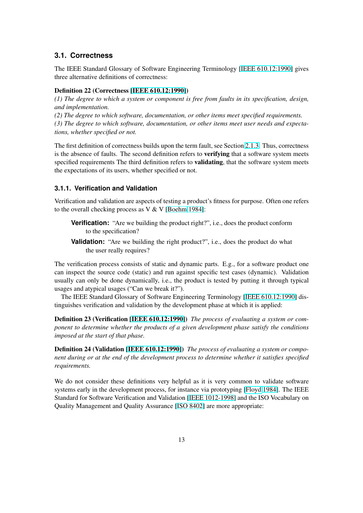## <span id="page-12-0"></span>**3.1. Correctness**

The IEEE Standard Glossary of Software Engineering Terminology [IEEE 610.12:1990] gives three alternative definitions of correctness:

### Definition 22 (Correctness [IEEE 610.12:1990])

*(1) The degree to which a system or component is free from faults i[n its specification, d](#page-37-0)esign, and implementation.*

*(2) The degree to which software, documentation, or other items meet specified requirements. (3) The degree to which soft[ware, documentation](#page-37-0), or other items meet user needs and expectations, whether specified or not.*

The first definition of correctness builds upon the term fault, see Section 2.1.3. Thus, correctness is the absence of faults. The second definition refers to **verifying** that a software system meets specified requirements The third definition refers to **validating**, that the software system meets the expectations of its users, whether specified or not.

### **3.1.1. Verification and Validation**

Verification and validation are aspects of testing a product's fitness for purpose. Often one refers to the overall checking process as V & V [Boehm 1984]:

- **Verification:** "Are we building the product right?", i.e., does the product conform to the specification?
- **Validation:** "Are we building the [right product?](#page-36-0)", i.e., does the product do what the user really requires?

The verification process consists of static and dynamic parts. E.g., for a software product one can inspect the source code (static) and run against specific test cases (dynamic). Validation usually can only be done dynamically, i.e., the product is tested by putting it through typical usages and atypical usages ("Can we break it?").

The IEEE Standard Glossary of Software Engineering Terminology [IEEE 610.12:1990] distinguishes verification and validation by the development phase at which it is applied:

Definition 23 (Verification [IEEE 610.12:1990]) *The process of evaluating a system or component to determine whether the products of a given development pha[se satisfy the condi](#page-37-0)tions imposed at the start of that phase.*

Definition 24 (Validation [I[EEE 610.12:1990\]\)](#page-37-0) *The process of evaluating a system or component during or at the end of the development process to determine whether it satisfies specified requirements.*

We do not consider these [definitions very hel](#page-37-0)pful as it is very common to validate software systems early in the development process, for instance via prototyping [Floyd 1984]. The IEEE Standard for Software Verification and Validation [IEEE 1012-1998] and the ISO Vocabulary on Quality Management and Quality Assurance [ISO 8402] are more appropriate: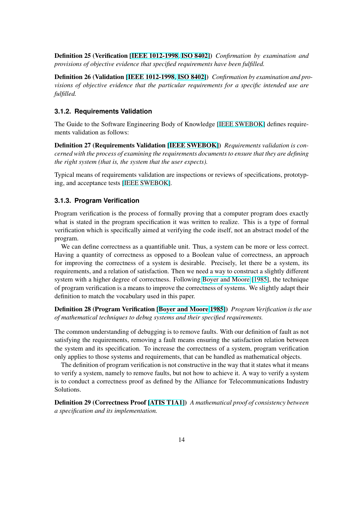<span id="page-13-0"></span>Definition 25 (Verification [IEEE 1012-1998, ISO 8402]) *Confirmation by examination and provisions of objective evidence that specified requirements have been fulfilled.*

Definition 26 (Validation [IEEE 1012-1998, ISO 8402]) *Confirmation by examination and provisions of objective evidenc[e that the particul](#page-37-0)[ar requirem](#page-38-0)ents for a specific intended use are fulfilled.*

#### **3.1.2. Requirements V[alidation](#page-37-0)**

The Guide to the Software Engineering Body of Knowledge [IEEE SWEBOK] defines requirements validation as follows:

Definition 27 (Requirements Validation [IEEE SWEBOK]) *Requirements validation is concerned with the process of examining the requirements docum[ents to ensure that](#page-38-0) they are defining the right system (that is, the system that the user expects).*

Typical means of requirements validation [are inspections or r](#page-38-0)eviews of specifications, prototyping, and acceptance tests [IEEE SWEBOK].

#### **3.1.3. Program Verification**

Program verification is t[he process of form](#page-38-0)ally proving that a computer program does exactly what is stated in the program specification it was written to realize. This is a type of formal verification which is specifically aimed at verifying the code itself, not an abstract model of the program.

We can define correctness as a quantifiable unit. Thus, a system can be more or less correct. Having a quantity of correctness as opposed to a Boolean value of correctness, an approach for improving the correctness of a system is desirable. Precisely, let there be a system, its requirements, and a relation of satisfaction. Then we need a way to construct a slightly different system with a higher degree of correctness. Following Boyer and Moore [1985], the technique of program verification is a means to improve the correctness of systems. We slightly adapt their definition to match the vocabulary used in this paper.

Definition 28 (Program Verification [Boyer and Moore 1985]) *[Program Verifi](#page-36-0)cation is the use of mathematical techniques to debug systems and their specified requirements.*

The common understanding of debugging is to remove faults. With our definition of fault as not satisfying the requirements, removing [a fault means ensuring th](#page-36-0)e satisfaction relation between the system and its specification. To increase the correctness of a system, program verification only applies to those systems and requirements, that can be handled as mathematical objects.

The definition of program verification is not constructive in the way that it states what it means to verify a system, namely to remove faults, but not how to achieve it. A way to verify a system is to conduct a correctness proof as defined by the Alliance for Telecommunications Industry Solutions.

Definition 29 (Correctness Proof [ATIS T1A1]) *A mathematical proof of consistency between a specification and its implementation.*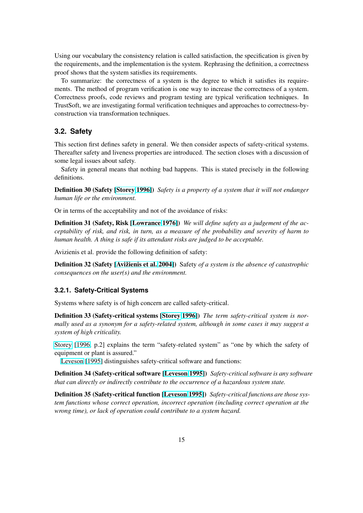<span id="page-14-0"></span>Using our vocabulary the consistency relation is called satisfaction, the specification is given by the requirements, and the implementation is the system. Rephrasing the definition, a correctness proof shows that the system satisfies its requirements.

To summarize: the correctness of a system is the degree to which it satisfies its requirements. The method of program verification is one way to increase the correctness of a system. Correctness proofs, code reviews and program testing are typical verification techniques. In TrustSoft, we are investigating formal verification techniques and approaches to correctness-byconstruction via transformation techniques.

## **3.2. Safety**

This section first defines safety in general. We then consider aspects of safety-critical systems. Thereafter safety and liveness properties are introduced. The section closes with a discussion of some legal issues about safety.

Safety in general means that nothing bad happens. This is stated precisely in the following definitions.

Definition 30 (Safety [Storey 1996]) *Safety is a property of a system that it will not endanger human life or the environment.*

Or in terms of the acceptability and not of the avoidance of risks:

Definition 31 (Safety, [Risk \[Lowra](#page-39-0)nce 1976]) *We will define safety as a judgement of the acceptability of risk, and risk, in turn, as a measure of the probability and severity of harm to human health. A thing is safe if its attendant risks are judged to be acceptable.*

Avizienis et al. provide the f[ollowing definitio](#page-38-0)n of safety:

Definition 32 (Safety [Avižienis et al. 2004]) Safety *of a system is the absence of catastrophic consequences on the user(s) and the environment.*

### **3.2.1. Safety-Critic[al Systems](#page-36-0)**

Systems where safety is of high concern are called safety-critical.

Definition 33 (Safety-critical systems [Storey 1996]) *The term safety-critical system is normally used as a synonym for a safety-related system, although in some cases it may suggest a system of high criticality.*

Storey [1996, p.2] explains the term "[safety-related](#page-39-0) system" as "one by which the safety of equipment or plant is assured."

Leveson [1995] distinguishes safety-critical software and functions:

[Definit](#page-39-0)i[on 34](#page-39-0) (Safety-critical software [Leveson 1995]) *Safety-critical software is any software that can directly or indirectly contribute to the occurrence of a hazardous system state.*

D[efinition](#page-38-0) [35 \(Sa](#page-38-0)fety-critical function [Leveson 1995]) *Safety-critical functions are those system functions whose correct operation, i[ncorrect operat](#page-38-0)ion (including correct operation at the wrong time), or lack of operation could contribute to a system hazard.*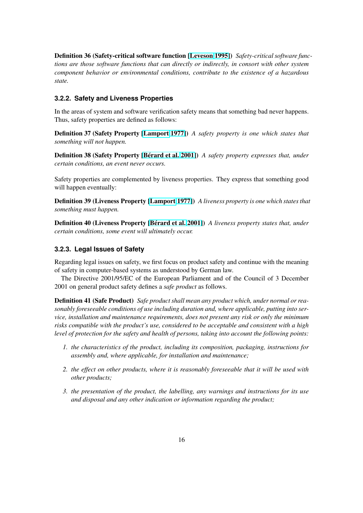<span id="page-15-0"></span>Definition 36 (Safety-critical software function [Leveson 1995]) *Safety-critical software functions are those software functions that can directly or indirectly, in consort with other system component behavior or environmental conditions, contribute to the existence of a hazardous state.*

### **3.2.2. Safety and Liveness Properties**

In the areas of system and software verification safety means that something bad never happens. Thus, safety properties are defined as follows:

Definition 37 (Safety Property [Lamport 1977]) *A safety property is one which states that something will not happen.*

Definition 38 (Safety Property [Bérard et al. 2001]) *A safety property expresses that, under certain conditions, an event neve[r occurs.](#page-38-0)*

Safety properties are complemented by liveness properties. They express that something good will happen eventually:

Definition 39 (Liveness Property [Lamport 1977]) *A liveness property is one which states that something must happen.*

Definition 40 (Liveness Property [Bérard et al. 2001]) *A liveness property states that, under certain conditions, some event will [ultimately occur](#page-38-0).*

### **3.2.3. Legal Issues of Safety**

Regarding legal issues on safety, we first focus on product safety and continue with the meaning of safety in computer-based systems as understood by German law.

The Directive 2001/95/EC of the European Parliament and of the Council of 3 December 2001 on general product safety defines a *safe product* as follows.

Definition 41 (Safe Product) *Safe product shall mean any product which, under normal or reasonably foreseeable conditions of use including duration and, where applicable, putting into service, installation and maintenance requirements, does not present any risk or only the minimum risks compatible with the product's use, considered to be acceptable and consistent with a high level of protection for the safety and health of persons, taking into account the following points:*

- *1. the characteristics of the product, including its composition, packaging, instructions for assembly and, where applicable, for installation and maintenance;*
- *2. the effect on other products, where it is reasonably foreseeable that it will be used with other products;*
- *3. the presentation of the product, the labelling, any warnings and instructions for its use and disposal and any other indication or information regarding the product;*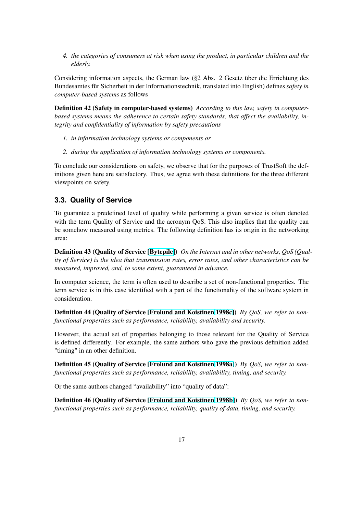<span id="page-16-0"></span>*4. the categories of consumers at risk when using the product, in particular children and the elderly.*

Considering information aspects, the German law (§2 Abs. 2 Gesetz über die Errichtung des Bundesamtes für Sicherheit in der Informationstechnik, translated into English) defines *safety in computer-based systems* as follows

Definition 42 (Safety in computer-based systems) *According to this law, safety in computerbased systems means the adherence to certain safety standards, that affect the availability, integrity and confidentiality of information by safety precautions*

- *1. in information technology systems or components or*
- *2. during the application of information technology systems or components.*

To conclude our considerations on safety, we observe that for the purposes of TrustSoft the definitions given here are satisfactory. Thus, we agree with these definitions for the three different viewpoints on safety.

## **3.3. Quality of Service**

To guarantee a predefined level of quality while performing a given service is often denoted with the term Quality of Service and the acronym QoS. This also implies that the quality can be somehow measured using metrics. The following definition has its origin in the networking area:

Definition 43 (Quality of Service [Bytepile]) *On the Internet and in other networks, QoS (Quality of Service) is the idea that transmission rates, error rates, and other characteristics can be measured, improved, and, to some extent, guaranteed in advance.*

In computer science, the term is of[ten used t](#page-36-0)o describe a set of non-functional properties. The term service is in this case identified with a part of the functionality of the software system in consideration.

Definition 44 (Quality of Service [Frolund and Koistinen 1998c]) *By QoS, we refer to nonfunctional properties such as performance, reliability, availability and security.*

However, the actual set of properties belonging to those relevant for the Quality of Service is defined differently. For exampl[e, the same authors who gave th](#page-37-0)e previous definition added "timing" in an other definition.

Definition 45 (Quality of Service [Frolund and Koistinen 1998a]) *By QoS, we refer to nonfunctional properties such as performance, reliability, availability, timing, and security.*

Or the same authors changed "availability" into "quality of data":

Definition 46 (Quality of Service [\[Frolund and Koistinen](#page-37-0) [1998b\]](#page-37-0)) *By QoS, we refer to nonfunctional properties such as performance, reliability, quality of data, timing, and security.*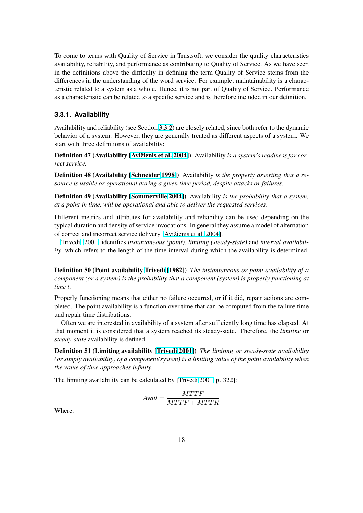<span id="page-17-0"></span>To come to terms with Quality of Service in Trustsoft, we consider the quality characteristics availability, reliability, and performance as contributing to Quality of Service. As we have seen in the definitions above the difficulty in defining the term Quality of Service stems from the differences in the understanding of the word service. For example, maintainability is a characteristic related to a system as a whole. Hence, it is not part of Quality of Service. Performance as a characteristic can be related to a specific service and is therefore included in our definition.

### **3.3.1. Availability**

Availability and reliability (see Section 3.3.2) are closely related, since both refer to the dynamic behavior of a system. However, they are generally treated as different aspects of a system. We start with three definitions of availability:

Definition 47 (Availability [Avižienis [et al.](#page-19-0) 2004]) Availability *is a system's readiness for correct service.*

Definition 48 (Availability [Schneider 1998]) Availability *is the property asserting that a resource is usable or operatio[nal during a given tim](#page-36-0)e period, despite attacks or failures.*

Definition 49 (Availability [Sommerville 2004]) Availability *is the probability that a system, at a point in time, will be op[erational and abl](#page-39-0)e to deliver the requested services.*

Different metrics and attributes for availability and reliability can be used depending on the typical duration and density [of service invocation](#page-39-0)s. In general they assume a model of alternation of correct and incorrect service delivery [Avižienis et al. 2004].

Trivedi [2001] identifies *instantaneous (point)*, *limiting (steady-state)* and *interval availability*, which refers to the length of the time interval during which the availability is determined.

D[efinition 50 \(P](#page-40-0)oint availability Trivedi [1982]) *The instantaneous or point availability of a component (or a system) is the probability that a component (system) is properly functioning at time t.*

Properly functioning means that [either no failur](#page-40-0)e occurred, or if it did, repair actions are completed. The point availability is a function over time that can be computed from the failure time and repair time distributions.

Often we are interested in availability of a system after sufficiently long time has elapsed. At that moment it is considered that a system reached its steady-state. Therefore, the *limiting* or *steady-state* availability is defined:

Definition 51 (Limiting availability [Trivedi 2001]) *The limiting or steady-state availability (or simply availability) of a component(system) is a limiting value of the point availability when the value of time approaches infinity.*

The limiting availability can be calcul[ated by \[Trived](#page-40-0)i 2001, p. 322]:

$$
Avail = \frac{MTTF}{MTTF+MTTR}
$$

Where: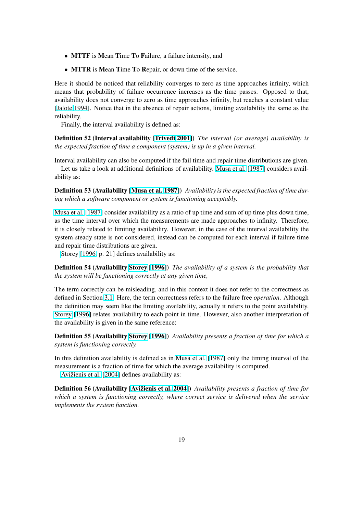- MTTF is Mean Time To Failure, a failure intensity, and
- MTTR is Mean Time To Repair, or down time of the service.

Here it should be noticed that reliability converges to zero as time approaches infinity, which means that probability of failure occurrence increases as the time passes. Opposed to that, availability does not converge to zero as time approaches infinity, but reaches a constant value [Jalote 1994]. Notice that in the absence of repair actions, limiting availability the same as the reliability.

Finally, the interval availability is defined as:

[Definition 52](#page-38-0) (Interval availability [Trivedi 2001]) *The interval (or average) availability is the expected fraction of time a component (system) is up in a given interval.*

Interval availability can also be computed if the fail time and repair time distributions are given.

Let us take a look at additional de[finitions of ava](#page-40-0)ilability. Musa et al. [1987] considers availability as:

Definition 53 (Availability [Musa et al. 1987]) *Availability is the expected fraction of time during which a software component or system is functioning ac[ceptably.](#page-39-0)*

Musa et al. [1987] consider availability as a ratio of up time and sum of up time plus down time, as the time interval over wh[ich the measurem](#page-39-0)ents are made approaches to infinity. Therefore, it is closely related to limiting availability. However, in the case of the interval availability the system-steady state is not considered, instead can be computed for each interval if failure time [and repair time di](#page-39-0)stributions are given.

Storey [1996, p. 21] defines availability as:

Definition 54 (Availability Storey [1996]) *The availability of a system is the probability that the system will be functioning correctly at any given time,*

T[he term](#page-39-0) [correc](#page-39-0)tly can be misleading, and in this context it does not refer to the correctness as defined in Section 3.1. Her[e, the term cor](#page-39-0)rectness refers to the failure free *operation*. Although the definition may seem like the limiting availability, actually it refers to the point availability. Storey [1996] relates availability to each point in time. However, also another interpretation of the availability is [given](#page-12-0) in the same reference:

Definition 55 (Availability Storey [1996]) *Availability presents a fraction of time for which a [system](#page-39-0) [is func](#page-39-0)tioning correctly.*

In this definition availability is defined as in Musa et al. [1987] only the timing interval of the measurement is a fraction o[f time for whic](#page-39-0)h the average availability is computed.

Avižienis et al. [2004] defines availability as:

Definition 56 (Availability [Avižienis et al. [2004\]\)](#page-39-0) *Avail[ability](#page-39-0) presents a fraction of time for which a system is functioning correctly, where correct service is delivered when the service i[mplements the system fu](#page-36-0)nction.*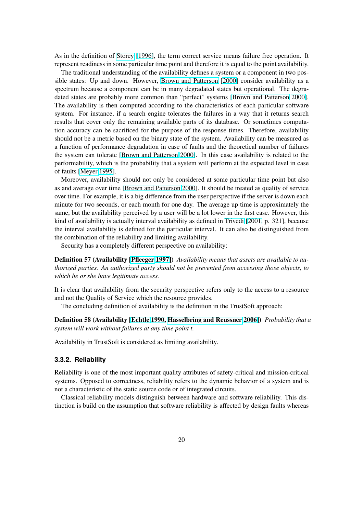<span id="page-19-0"></span>As in the definition of Storey [1996], the term correct service means failure free operation. It represent readiness in some particular time point and therefore it is equal to the point availability.

The traditional understanding of the availability defines a system or a component in two possible states: Up and down. However, Brown and Patterson [2000] consider availability as a spectrum because a co[mponent can](#page-39-0) be in many degradated states but operational. The degradated states are probably more common than "perfect" systems [Brown and Patterson 2000]. The availability is then computed according to the characteristics of each particular software system. For instance, if a search engi[ne tolerates the failures in a](#page-36-0) way that it returns search results that cover only the remaining available parts of its database. Or sometimes computation accuracy can be sacrificed for the purpose of the response t[imes. Therefore, availability](#page-36-0) should not be a metric based on the binary state of the system. Availability can be measured as a function of performance degradation in case of faults and the theoretical number of failures the system can tolerate [Brown and Patterson 2000]. In this case availability is related to the performability, which is the probability that a system will perform at the expected level in case of faults [Meyer 1995].

Moreover, availability should not only be considered at some particular time point but also as and average over time [\[Brown and Patterson](#page-36-0) [2000](#page-36-0)]. It should be treated as quality of service over time. For example, it is a big difference from the user perspective if the server is down each minute f[or two second](#page-39-0)s, or each month for one day. The average up time is approximately the same, but the availability perceived by a user will be a lot lower in the first case. However, this kind of availability is act[ually interval availability as](#page-36-0) defined in Trivedi [2001, p. 321], because the interval availability is defined for the particular interval. It can also be distinguished from the combination of the reliability and limiting availability.

Security has a completely different perspective on availabilit[y:](#page-40-0)

Definition 57 (Availability [Pfleeger 1997]) *Availability means that assets are available to authorized parties. An authorized party should not be prevented from accessing those objects, to which he or she have legitimate access.*

It is clear that availability fr[om the security](#page-39-0) perspective refers only to the access to a resource and not the Quality of Service which the resource provides.

The concluding definition of availability is the definition in the TrustSoft approach:

Definition 58 (Availability [Echtle 1990, Hasselbring and Reussner 2006]) *Probability that a system will work without failures at any time point t.*

Availability in TrustSoft is considered as limiting availability.

#### **3.3.2. Reliability**

Reliability is one of the most important quality attributes of safety-critical and mission-critical systems. Opposed to correctness, reliability refers to the dynamic behavior of a system and is not a characteristic of the static source code or of integrated circuits.

Classical reliability models distinguish between hardware and software reliability. This distinction is build on the assumption that software reliability is affected by design faults whereas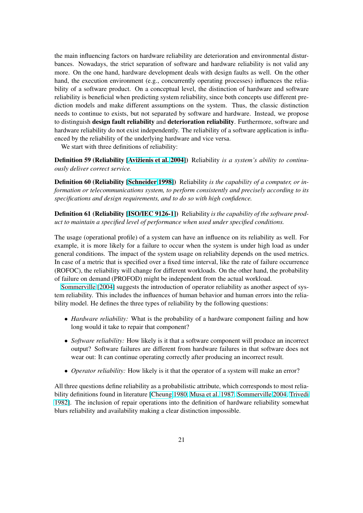the main influencing factors on hardware reliability are deterioration and environmental disturbances. Nowadays, the strict separation of software and hardware reliability is not valid any more. On the one hand, hardware development deals with design faults as well. On the other hand, the execution environment (e.g., concurrently operating processes) influences the reliability of a software product. On a conceptual level, the distinction of hardware and software reliability is beneficial when predicting system reliability, since both concepts use different prediction models and make different assumptions on the system. Thus, the classic distinction needs to continue to exists, but not separated by software and hardware. Instead, we propose to distinguish design fault reliability and deterioration reliability. Furthermore, software and hardware reliability do not exist independently. The reliability of a software application is influenced by the reliability of the underlying hardware and vice versa.

We start with three definitions of reliability:

Definition 59 (Reliability [Avižienis et al. 2004]) Reliability *is a system's ability to continuously deliver correct service.*

Definition 60 (Reliability [Schneider 1998]) Reliability *is the capability of a computer, or information or telecommunic[ations system, to perfo](#page-36-0)rm consistently and precisely according to its specifications and design requirements, and to do so with high confidence.*

Definition 61 (Reliability [\[ISO/IEC 9126-1](#page-39-0)]) Reliability *is the capability of the software product to maintain a specified level of performance when used under specified conditions.*

The usage (operational profile) of a system can have an influence on its reliability as well. For example, it is more likely [for a failure to oc](#page-38-0)cur when the system is under high load as under general conditions. The impact of the system usage on reliability depends on the used metrics. In case of a metric that is specified over a fixed time interval, like the rate of failure occurrence (ROFOC), the reliability will change for different workloads. On the other hand, the probability of failure on demand (PROFOD) might be independent from the actual workload.

Sommerville [2004] suggests the introduction of operator reliability as another aspect of system reliability. This includes the influences of human behavior and human errors into the reliability model. He defines the three types of reliability by the following questions:

- *[Hardware reliab](#page-39-0)ility:* What is the probability of a hardware component failing and how long would it take to repair that component?
- *Software reliability:* How likely is it that a software component will produce an incorrect output? Software failures are different from hardware failures in that software does not wear out: It can continue operating correctly after producing an incorrect result.
- *Operator reliability:* How likely is it that the operator of a system will make an error?

All three questions define reliability as a probabilistic attribute, which corresponds to most reliability definitions found in literature [Cheung 1980, Musa et al. 1987, Sommerville 2004, Trivedi 1982]. The inclusion of repair operations into the definition of hardware reliability somewhat blurs reliability and availability making a clear distinction impossible.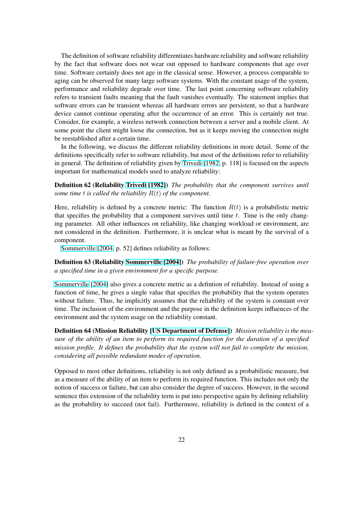The definition of software reliability differentiates hardware reliability and software reliability by the fact that software does not wear out opposed to hardware components that age over time. Software certainly does not age in the classical sense. However, a process comparable to aging can be observed for many large software systems. With the constant usage of the system, performance and reliability degrade over time. The last point concerning software reliability refers to transient faults meaning that the fault vanishes eventually. The statement implies that software errors can be transient whereas all hardware errors are persistent, so that a hardware device cannot continue operating after the occurrence of an error. This is certainly not true. Consider, for example, a wireless network connection between a server and a mobile client. At some point the client might loose the connection, but as it keeps moving the connection might be reestablished after a certain time.

In the following, we discuss the different reliability definitions in more detail. Some of the definitions specifically refer to software reliability, but most of the definitions refer to reliability in general. The definition of reliability given by Trivedi [1982, p. 118] is focused on the aspects important for mathematical models used to analyze reliability:

Definition 62 (Reliability Trivedi [1982]) *The probability that the component survives until some time t is called the reliability*  $R(t)$  *of the [component.](#page-40-0)* 

Here, reliability is defined by a concrete metric: The function  $R(t)$  is a probabilistic metric that specifies the probabil[ity that a comp](#page-40-0)onent survives until time  $t$ . Time is the only changing parameter. All other influences on reliability, like changing workload or environment, are not considered in the definition. Furthermore, it is unclear what is meant by the survival of a component.

Sommerville [2004, p. 52] defines reliability as follows:

Definition 63 (Reliability Sommerville [2004]) *The probability of failure-free operation over a specified time in a given environment for a specific purpose.*

S[ommerville](#page-39-0) [2[004\] al](#page-39-0)so gives a concrete metric as a defintion of reliability. Instead of using a function of time, he gives [a single value that s](#page-39-0)pecifies the probability that the system operates without failure. Thus, he implicitly assumes that the reliability of the system is constant over time. The inclusion of the environment and the purpose in the definition keeps influences of the [environment and the](#page-39-0) system usage on the reliability constant.

Definition 64 (Mission Reliability [US Department of Defense]) *Mission reliability is the measure of the ability of an item to perform its required function for the duration of a specified mission profile. It defines the probability that the system will not fail to complete the mission, considering all possible redundant [modes of operation.](#page-40-0)*

Opposed to most other definitions, reliability is not only defined as a probabilistic measure, but as a measure of the ability of an item to perform its required function. This includes not only the notion of success or failure, but can also consider the degree of success. However, in the second sentence this extension of the reliability term is put into perspective again by defining reliability as the probability to succeed (not fail). Furthermore, reliability is defined in the context of a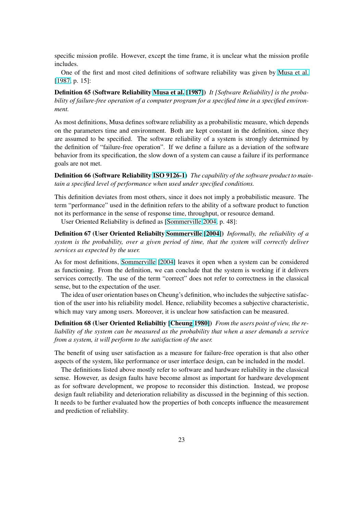specific mission profile. However, except the time frame, it is unclear what the mission profile includes.

One of the first and most cited definitions of software reliability was given by Musa et al. [1987, p. 15]:

Definition 65 (Software Reliability Musa et al. [1987]) *It [Software Reliability] is the probability of failure-free operation of a computer program for a specified time in a speci[fied environ](#page-39-0)[ment.](#page-39-0)*

As most definitions, Musa defines so[ftware reliab](#page-39-0)i[lity as](#page-39-0) a probabilistic measure, which depends on the parameters time and environment. Both are kept constant in the definition, since they are assumed to be specified. The software reliability of a system is strongly determined by the definition of "failure-free operation". If we define a failure as a deviation of the software behavior from its specification, the slow down of a system can cause a failure if its performance goals are not met.

Definition 66 (Software Reliability ISO 9126-1) *The capability of the software product to maintain a specified level of performance when used under specified conditions.*

This definition deviates from most others, since it does not imply a probabilistic measure. The term "performance" used in the defi[nition refers t](#page-38-0)o the ability of a software product to function not its performance in the sense of response time, throughput, or resource demand.

User Oriented Reliability is defined as [Sommerville 2004, p. 48]:

Definition 67 (User Oriented Reliabilty Sommerville [2004]) *Informally, the reliability of a system is the probability, over a given period of time, that the system will correctly deliver services as expected by the user.*

As for most definitions, Sommerville [2[004\] leaves it open w](#page-39-0)hen a system can be considered as functioning. From the definition, we can conclude that the system is working if it delivers services correctly. The use of the term "correct" does not refer to correctness in the classical sense, but to the expectation of the user.

The idea of user orient[ation bases on](#page-39-0) [Cheun](#page-39-0)g's definition, who includes the subjective satisfaction of the user into his reliability model. Hence, reliability becomes a subjective characteristic, which may vary among users. Moreover, it is unclear how satisfaction can be measured.

Definition 68 (User Oriented Reliabiltiy [Cheung 1980]) *From the users point of view, the reliability of the system can be measured as the probability that when a user demands a service from a system, it will perform to the satisfaction of the user.*

The benefit of using user satisfaction as a [measure for fa](#page-36-0)ilure-free operation is that also other aspects of the system, like performance or user interface design, can be included in the model.

The definitions listed above mostly refer to software and hardware reliability in the classical sense. However, as design faults have become almost as important for hardware development as for software development, we propose to reconsider this distinction. Instead, we propose design fault reliability and deterioration reliability as discussed in the beginning of this section. It needs to be further evaluated how the properties of both concepts influence the measurement and prediction of reliability.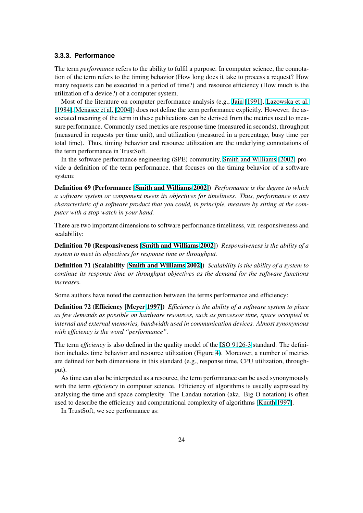#### <span id="page-23-0"></span>**3.3.3. Performance**

The term *performance* refers to the ability to fulfil a purpose. In computer science, the connotation of the term refers to the timing behavior (How long does it take to process a request? How many requests can be executed in a period of time?) and resource efficiency (How much is the utilization of a device?) of a computer system.

Most of the literature on computer performance analysis (e.g., Jain [1991], Lazowska et al. [1984], Menasce et al. [2004]) does not define the term performance explicitly. However, the associated meaning of the term in these publications can be derived from the metrics used to measure performance. Commonly used metrics are response time (measured in seconds), throughput (measured in requests per time unit), and utilization (measured i[n a percenta](#page-38-0)g[e, busy time per](#page-38-0) [total ti](#page-38-0)[me\). Thus, timing beh](#page-39-0)avior and resource utilization are the underlying connotations of the term performance in TrustSoft.

In the software performance engineering (SPE) community, Smith and Williams [2002] provide a definition of the term performance, that focuses on the timing behavior of a software system:

Definition 69 (Performance [Smith and Williams 2002]) *Pe[rformance is the degree to w](#page-39-0)hich a software system or component meets its objectives for timeliness. Thus, performance is any characteristic of a software product that you could, in principle, measure by sitting at the computer with a stop watch in yo[ur hand.](#page-39-0)*

There are two important dimensions to software performance timeliness, viz. responsiveness and scalability:

Definition 70 (Responsiveness [Smith and Williams 2002]) *Responsiveness is the ability of a system to meet its objectives for response time or throughput.*

Definition 71 (Scalability [Smith and Williams 2002]) *Scalability is the ability of a system to continue its response time or th[roughput objectives as the](#page-39-0) demand for the software functions increases.*

Some authors have noted t[he connection between the te](#page-39-0)rms performance and efficiency:

Definition 72 (Efficiency [Meyer 1997]) *Efficiency is the ability of a software system to place as few demands as possible on hardware resources, such as processor time, space occupied in internal and external memories, bandwidth used in communication devices. Almost synonymous with efficiency is the word ["performance](#page-39-0)".*

The term *efficiency* is also defined in the quality model of the ISO 9126-3 standard. The definition includes time behavior and resource utilization (Figure 4). Moreover, a number of metrics are defined for both dimensions in this standard (e.g., response time, CPU utilization, throughput).

As time can also be interpreted as a resource, the term perfo[rmance can b](#page-38-0)e used synonymously with the term *efficiency* in computer science. Efficiency of [al](#page-24-0)gorithms is usually expressed by analysing the time and space complexity. The Landau notation (aka. Big-O notation) is often used to describe the efficiency and computational complexity of algorithms [Knuth 1997].

In TrustSoft, we see performance as: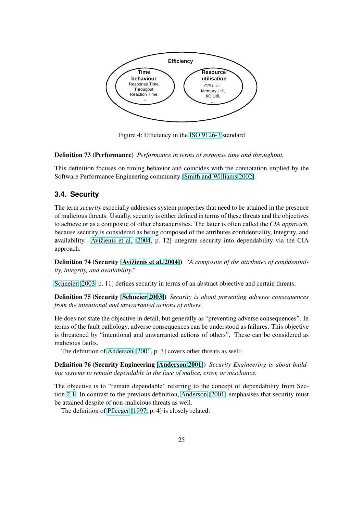<span id="page-24-0"></span>

Figure 4: Efficiency in the ISO 9126-3 standard

#### Definition 73 (Performance) *Performance in terms of response time and throughput.*

This definition focuses on timing behavior and c[oincides with](#page-38-0) the connotation implied by the Software Performance Engineering community [Smith and Williams 2002].

## **3.4. Security**

The term *security* especially addresses system pr[operties that need to be att](#page-39-0)ained in the presence of malicious threats. Usually, security is either defined in terms of these threats and the objectives to achieve or as a composite of other characteristics. The latter is often called the *CIA approach*, because security is considered as being composed of the attributes confidentiality, integrity, and availability. Avižienis et al. [2004, p. 12] integrate security into dependability via the CIA approach:

Definition 74 (Security [Avižienis et al. 2004]) *"A composite of the attributes of confidentiality, integrity, [and availability."](#page-36-0)*

Schneier [2003, p. 11] defines security in terms of an abstract objective and certain threats:

Definition 75 (Security [\[Schneier](#page-36-0) 2003]) *[Sec](#page-36-0)urity is about preventing adverse consequences from the intentional and unwarranted actions of others.*

[He does not stat](#page-39-0)e the objective in detail, but generally as "preventing adverse consequences". In terms of the fault patholo[gy, adverse cons](#page-39-0)equences can be understood as failures. This objective is threatened by "intentional and unwarranted actions of others". These can be considered as malicious faults.

The definition of Anderson [2001, p. 3] covers other threats as well:

Definition 76 (Security Engineering [Anderson 2001]) *Security Engineering is about building systems to remain dependable in the face of malice, error, or mischance.*

The objective is to ["remain depend](#page-36-0)able" referring to the concept of dependability from Section 2.1. In contrast to the previous d[efinition,](#page-36-0) A[nderso](#page-36-0)n [2001] emphasises that security must be attained despite of non-malicious threats as well.

The definition of Pfleeger [1997, p. 4] is closely related: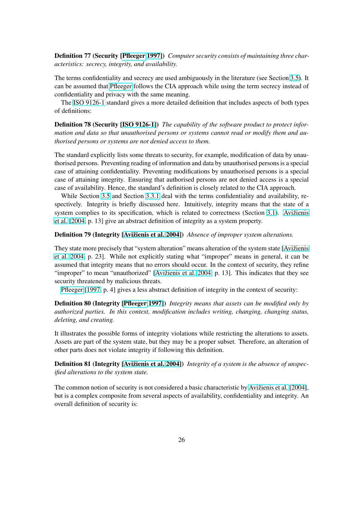Definition 77 (Security [Pfleeger 1997]) *Computer security consists of maintaining three characteristics: secrecy, integrity, and availability.*

The terms confidentiality and secrecy are used ambiguously in the literature (see Section 3.5). It can be assumed that Pfleeger [follows the](#page-39-0) CIA approach while using the term secrecy instead of confidentiality and privacy with the same meaning.

The ISO 9126-1 standard gives a more detailed definition that includes aspects of bot[h ty](#page-26-0)pes of definitions:

Definition 78 (Security [ISO 9126-1]) *The capability of the software product to protect informatio[n and data so](#page-38-0) that unauthorised persons or systems cannot read or modify them and authorised persons or systems are not denied access to them.*

The standard explicitly li[sts some thre](#page-38-0)ats to security, for example, modification of data by unauthorised persons. Preventing reading of information and data by unauthorised persons is a special case of attaining confidentiality. Preventing modifications by unauthorised persons is a special case of attaining integrity. Ensuring that authorised persons are not denied access is a special case of availability. Hence, the standard's definition is closely related to the CIA approach.

While Section 3.5 and Section 3.3.1 deal with the terms confidentiality and availability, respectively. Integrity is briefly discussed here. Intuitively, integrity means that the state of a system complies to its specification, which is related to correctness (Section 3.1). Avižienis et al. [2004, p. 13[\] giv](#page-26-0)e an abstrac[t defin](#page-17-0)ition of integrity as a system property.

### Definition 79 (Integrity [Avižienis et al. 2004]) *Absence of improper system alterations.*

[They](#page-36-0) [state m](#page-36-0)ore precisely that "system alteration" means alteration of the syste[m stat](#page-12-0)e [\[Avižienis](#page-36-0) et al. 2004, p. 23]. While not explicitly stating what "improper" means in general, it can be assumed that integrity m[eans that no errors sho](#page-36-0)uld occur. In the context of security, they refine "improper" to mean "unauthorized" [Avižienis et al. 2004, p. 13]. This indicates tha[t they see](#page-36-0) security threatened by malicious threats.

[Pfleeger](#page-36-0) [1997, p. 4] gives a less abstract definition of integrity in the context of security:

Definition 80 (Integrity [Pfleeger 1997]) *[Integrity means](#page-36-0) that assets can be modified only by authorized parties. In this context, modification includes writing, changing, changing status, d[eleting, and crea](#page-39-0)ting.*

It illustrates the possible [forms of integri](#page-39-0)ty violations while restricting the alterations to assets. Assets are part of the system state, but they may be a proper subset. Therefore, an alteration of other parts does not violate integrity if following this definition.

Definition 81 (Integrity [Avižienis et al. 2004]) *Integrity of a system is the absence of unspecified alterations to the system state.*

The common notion of security is not considered a basic characteristic by Avižienis et al. [2004], but is a complex composi[te from several aspects](#page-36-0) of availability, confidentiality and integrity. An overall definition of security is: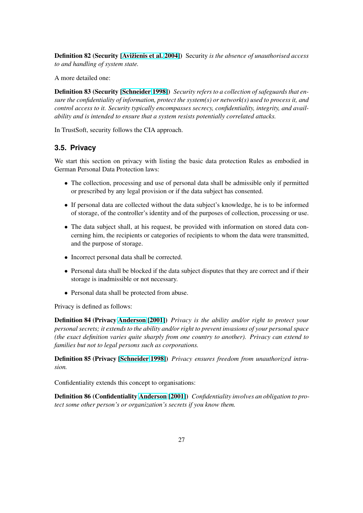<span id="page-26-0"></span>Definition 82 (Security [Avižienis et al. 2004]) Security *is the absence of unauthorised access to and handling of system state.*

A more detailed one:

Definition 83 (Security [\[Schneider](#page-36-0) 199[8\]\)](#page-36-0) *Security refers to a collection of safeguards that ensure the confidentiality of information, protect the system(s) or network(s) used to process it, and control access to it. Security typically encompasses secrecy, confidentiality, integrity, and availability and is intended to [ensure that a sys](#page-39-0)tem resists potentially correlated attacks.*

In TrustSoft, security follows the CIA approach.

## **3.5. Privacy**

We start this section on privacy with listing the basic data protection Rules as embodied in German Personal Data Protection laws:

- The collection, processing and use of personal data shall be admissible only if permitted or prescribed by any legal provision or if the data subject has consented.
- If personal data are collected without the data subject's knowledge, he is to be informed of storage, of the controller's identity and of the purposes of collection, processing or use.
- The data subject shall, at his request, be provided with information on stored data concerning him, the recipients or categories of recipients to whom the data were transmitted, and the purpose of storage.
- Incorrect personal data shall be corrected.
- Personal data shall be blocked if the data subject disputes that they are correct and if their storage is inadmissible or not necessary.
- Personal data shall be protected from abuse.

Privacy is defined as follows:

Definition 84 (Privacy Anderson [2001]) *Privacy is the ability and/or right to protect your personal secrets; it extends to the ability and/or right to prevent invasions of your personal space (the exact definition varies quite sharply from one country to another). Privacy can extend to families but not to legal [persons such as c](#page-36-0)orporations.*

Definition 85 (Privacy [Schneider 1998]) *Privacy ensures freedom from unauthorized intrusion.*

Confidentiality extends this concept to organisations:

Definition 86 (Confidentiality Anderson [2001]) *Confidentiality involves an obligation to protect some other person's or organization's secrets if you know them.*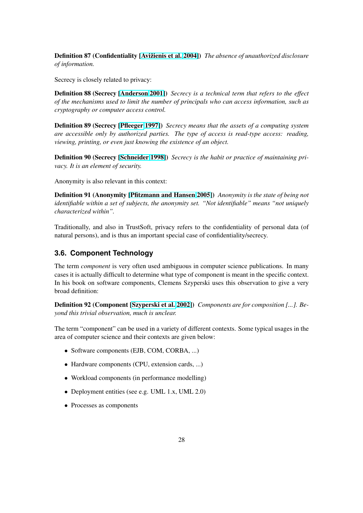Definition 87 (Confidentiality [Avižienis et al. 2004]) *The absence of unauthorized disclosure of information.*

Secrecy is closely related to privacy:

Definition 88 (Secrecy [Anderson 2001]) *Secrecy is a technical term that refers to the effect of the mechanisms used to limit the number of principals who can access information, such as cryptography or computer access control.*

Definition 89 (Secrecy [\[Pfleeger](#page-36-0) 1[997\]\)](#page-36-0) *Secrecy means that the assets of a computing system are accessible only by authorized parties. The type of access is read-type access: reading, viewing, printing, or even just knowing the existence of an object.*

Definition 90 (Secrecy [\[Schneide](#page-39-0)r [199](#page-39-0)8]) *Secrecy is the habit or practice of maintaining privacy. It is an element of security.*

Anonymity is also relevant in this context:

Definition 91 (Anonymity [Pfitzmann and Hansen 2005]) *Anonymity is the state of being not identifiable within a set of subjects, the anonymity set. "Not identifiable" means "not uniquely characterized within".*

Traditionally, and also in [TrustSoft, privacy refers to the](#page-39-0) confidentiality of personal data (of natural persons), and is thus an important special case of confidentiality/secrecy.

## **3.6. Component Technology**

The term *component* is very often used ambiguous in computer science publications. In many cases it is actually difficult to determine what type of component is meant in the specific context. In his book on software components, Clemens Szyperski uses this observation to give a very broad definition:

Definition 92 (Component [Szyperski et al. 2002]) *Components are for composition [...]. Beyond this trivial observation, much is unclear.*

The term "component" can be used in a variety of different contexts. Some typical usages in the area of computer science an[d their contexts are give](#page-39-0)n below:

- Software components (EJB, COM, CORBA, ...)
- Hardware components (CPU, extension cards, ...)
- Workload components (in performance modelling)
- Deployment entities (see e.g. UML 1.x, UML 2.0)
- Processes as components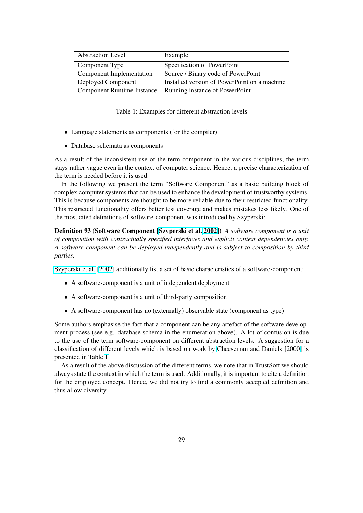| <b>Abstraction Level</b>          | Example                                      |
|-----------------------------------|----------------------------------------------|
| Component Type                    | Specification of PowerPoint                  |
| Component Implementation          | Source / Binary code of PowerPoint           |
| Deployed Component                | Installed version of PowerPoint on a machine |
| <b>Component Runtime Instance</b> | Running instance of PowerPoint               |

Table 1: Examples for different abstraction levels

- Language statements as components (for the compiler)
- Database schemata as components

As a result of the inconsistent use of the term component in the various disciplines, the term stays rather vague even in the context of computer science. Hence, a precise characterization of the term is needed before it is used.

In the following we present the term "Software Component" as a basic building block of complex computer systems that can be used to enhance the development of trustworthy systems. This is because components are thought to be more reliable due to their restricted functionality. This restricted functionality offers better test coverage and makes mistakes less likely. One of the most cited definitions of software-component was introduced by Szyperski:

Definition 93 (Software Component [Szyperski et al. 2002]) *A software component is a unit of composition with contractually specified interfaces and explicit context dependencies only. A software component can be deployed independently and is subject to composition by third parties.*

Szyperski et al. [2002] additionally list a set of basic characteristics of a software-component:

- A software-component is a unit of independent deployment
- [A software-com](#page-39-0)ponent is a unit of third-party composition
- A software-component has no (externally) observable state (component as type)

Some authors emphasise the fact that a component can be any artefact of the software development process (see e.g. database schema in the enumeration above). A lot of confusion is due to the use of the term software-component on different abstraction levels. A suggestion for a classification of different levels which is based on work by Cheeseman and Daniels [2000] is presented in Table 1.

As a result of the above discussion of the different terms, we note that in TrustSoft we should always state the context in which the term is used. Additionally, it is important to cite a definition for the employed concept. Hence, we did not try to find a [commonly accepted definition a](#page-36-0)nd thus allow diversity.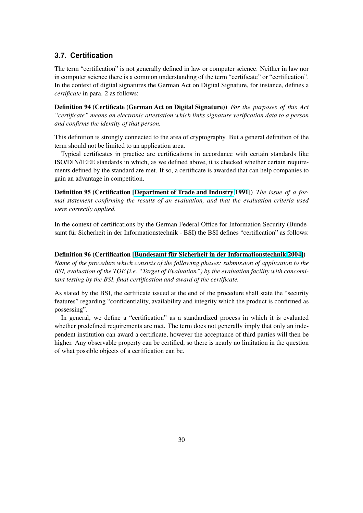## <span id="page-29-0"></span>**3.7. Certification**

The term "certification" is not generally defined in law or computer science. Neither in law nor in computer science there is a common understanding of the term "certificate" or "certification". In the context of digital signatures the German Act on Digital Signature, for instance, defines a *certificate* in para. 2 as follows:

Definition 94 (Certificate (German Act on Digital Signature)) *For the purposes of this Act "certificate" means an electronic attestation which links signature verification data to a person and confirms the identity of that person.*

This definition is strongly connected to the area of cryptography. But a general definition of the term should not be limited to an application area.

Typical certificates in practice are certifications in accordance with certain standards like ISO/DIN/IEEE standards in which, as we defined above, it is checked whether certain requirements defined by the standard are met. If so, a certificate is awarded that can help companies to gain an advantage in competition.

Definition 95 (Certification [Department of Trade and Industry 1991]) *The issue of a formal statement confirming the results of an evaluation, and that the evaluation criteria used were correctly applied.*

In the context of certification[s by the German Federal Office for Informa](#page-37-0)tion Security (Bundesamt für Sicherheit in der Informationstechnik - BSI) the BSI defines "certification" as follows:

#### Definition 96 (Certification [Bundesamt für Sicherheit in der Informationstechnik 2004])

*Name of the procedure which consists of the following phases: submission of application to the BSI, evaluation of the TOE (i.e. "Target of Evaluation") by the evaluation facility with concomitant testing by the BSI, final c[ertification and award of the certificate.](#page-36-0)*

As stated by the BSI, the certificate issued at the end of the procedure shall state the "security features" regarding "confidentiality, availability and integrity which the product is confirmed as possessing".

In general, we define a "certification" as a standardized process in which it is evaluated whether predefined requirements are met. The term does not generally imply that only an independent institution can award a certificate, however the acceptance of third parties will then be higher. Any observable property can be certified, so there is nearly no limitation in the question of what possible objects of a certification can be.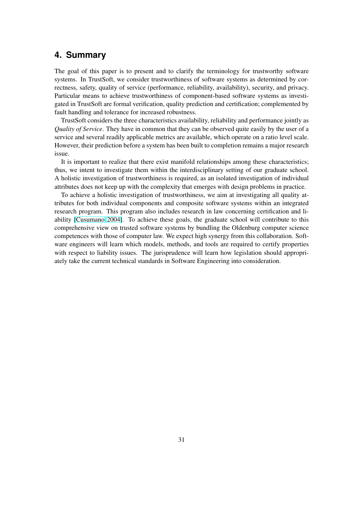## <span id="page-30-0"></span>**4. Summary**

The goal of this paper is to present and to clarify the terminology for trustworthy software systems. In TrustSoft, we consider trustworthiness of software systems as determined by correctness, safety, quality of service (performance, reliability, availability), security, and privacy. Particular means to achieve trustworthiness of component-based software systems as investigated in TrustSoft are formal verification, quality prediction and certification; complemented by fault handling and tolerance for increased robustness.

TrustSoft considers the three characteristics availability, reliability and performance jointly as *Quality of Service*. They have in common that they can be observed quite easily by the user of a service and several readily applicable metrics are available, which operate on a ratio level scale. However, their prediction before a system has been built to completion remains a major research issue.

It is important to realize that there exist manifold relationships among these characteristics; thus, we intent to investigate them within the interdisciplinary setting of our graduate school. A holistic investigation of trustworthiness is required, as an isolated investigation of individual attributes does not keep up with the complexity that emerges with design problems in practice.

To achieve a holistic investigation of trustworthiness, we aim at investigating all quality attributes for both individual components and composite software systems within an integrated research program. This program also includes research in law concerning certification and liability [Cusumano 2004]. To achieve these goals, the graduate school will contribute to this comprehensive view on trusted software systems by bundling the Oldenburg computer science competences with those of computer law. We expect high synergy from this collaboration. Software engineers will learn which models, methods, and tools are required to certify properties with re[spect to liability i](#page-37-0)ssues. The jurisprudence will learn how legislation should appropriately take the current technical standards in Software Engineering into consideration.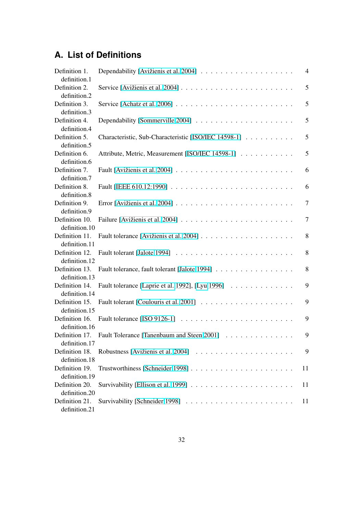## **A. List of Definitions**

| Definition 1.                 |                                                                                        | 4              |
|-------------------------------|----------------------------------------------------------------------------------------|----------------|
| definition.1                  |                                                                                        |                |
| Definition 2.<br>definition.2 |                                                                                        | 5              |
| Definition 3.                 | Service [Achatz et al. 2006] $\ldots \ldots \ldots \ldots \ldots \ldots \ldots \ldots$ | 5              |
| definition.3                  |                                                                                        |                |
| Definition 4.                 |                                                                                        | 5              |
| definition.4                  |                                                                                        |                |
| Definition 5.                 | Characteristic, Sub-Characteristic [ISO/IEC 14598-1]                                   | 5              |
| definition.5                  |                                                                                        |                |
|                               |                                                                                        | 5              |
| Definition 6.                 | Attribute, Metric, Measurement [ISO/IEC 14598-1]                                       |                |
| definition.6                  |                                                                                        |                |
| Definition 7.                 |                                                                                        | 6              |
| definition.7                  |                                                                                        |                |
| Definition 8.                 |                                                                                        | 6              |
| definition.8                  |                                                                                        |                |
| Definition 9.                 |                                                                                        | $\overline{7}$ |
| definition.9                  |                                                                                        |                |
| Definition 10.                |                                                                                        | $\tau$         |
| definition.10                 |                                                                                        |                |
| Definition 11.                |                                                                                        | 8              |
| definition.11                 |                                                                                        |                |
| Definition 12.                |                                                                                        | 8              |
| definition.12                 |                                                                                        |                |
| Definition 13.                | Fault tolerance, fault tolerant [Jalote 1994]                                          | 8              |
| definition.13                 |                                                                                        |                |
| Definition 14.                | Fault tolerance [Laprie et al. 1992], [Lyu 1996]                                       | 9              |
| definition.14                 |                                                                                        |                |
| Definition 15.                |                                                                                        | 9              |
| definition.15                 |                                                                                        |                |
| Definition 16.                |                                                                                        | 9              |
| definition.16                 |                                                                                        |                |
| Definition 17.                | Fault Tolerance [Tanenbaum and Steen 2001]                                             | 9              |
| definition.17                 |                                                                                        |                |
| Definition 18.                |                                                                                        | 9              |
| definition.18                 |                                                                                        |                |
| Definition 19.                |                                                                                        | 11             |
| definition.19                 |                                                                                        |                |
| Definition 20.                |                                                                                        |                |
| definition.20                 |                                                                                        | 11             |
|                               |                                                                                        |                |
| Definition 21.                |                                                                                        | 11             |
| definition.21                 |                                                                                        |                |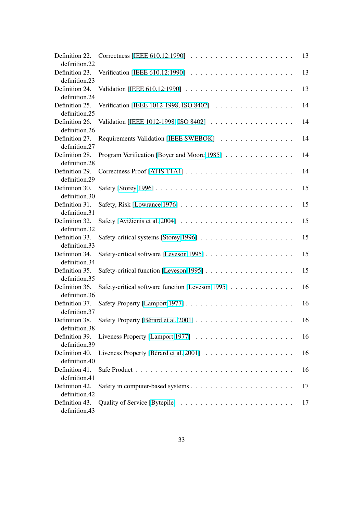| Definition 22.<br>definition.22 | Correctness [IEEE 610.12:1990] $\ldots \ldots \ldots \ldots \ldots \ldots \ldots$ | 13 |
|---------------------------------|-----------------------------------------------------------------------------------|----|
| Definition 23.                  |                                                                                   | 13 |
| definition.23<br>Definition 24. |                                                                                   | 13 |
| definition.24<br>Definition 25. | Verification [IEEE 1012-1998, ISO 8402]                                           | 14 |
| definition.25<br>Definition 26. | Validation [IEEE 1012-1998, ISO 8402]                                             | 14 |
| definition.26<br>Definition 27. | Requirements Validation [IEEE SWEBOK]                                             | 14 |
| definition.27                   |                                                                                   |    |
| Definition 28.<br>definition.28 | Program Verification [Boyer and Moore 1985]                                       | 14 |
| Definition 29.<br>definition.29 |                                                                                   | 14 |
| Definition 30.<br>definition.30 |                                                                                   | 15 |
| Definition 31.<br>definition.31 | Safety, Risk [Lowrance 1976] $\ldots \ldots \ldots \ldots \ldots \ldots \ldots$   | 15 |
| Definition 32.                  |                                                                                   | 15 |
| definition.32<br>Definition 33. |                                                                                   | 15 |
| definition.33<br>Definition 34. |                                                                                   | 15 |
| definition.34<br>Definition 35. |                                                                                   | 15 |
| definition.35<br>Definition 36. | Safety-critical software function [Leveson 1995]                                  | 16 |
| definition.36                   |                                                                                   |    |
| Definition 37.<br>definition.37 |                                                                                   | 16 |
| Definition 38.<br>definition.38 |                                                                                   | 16 |
| Definition 39.<br>definition.39 |                                                                                   | 16 |
| Definition 40.<br>definition.40 |                                                                                   | 16 |
| Definition 41.                  |                                                                                   | 16 |
| definition.41<br>Definition 42. |                                                                                   | 17 |
| definition.42<br>Definition 43. |                                                                                   | 17 |
| definition.43                   |                                                                                   |    |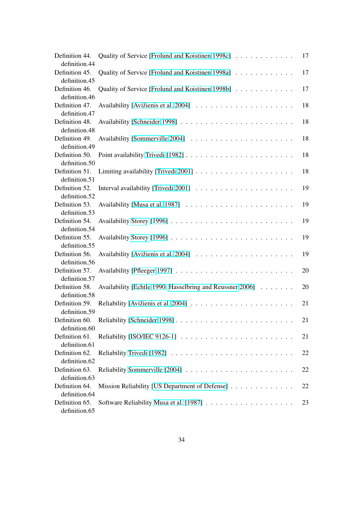| Definition 44.<br>definition.44                  | Quality of Service [Frolund and Koistinen 1998c]          | 17 |
|--------------------------------------------------|-----------------------------------------------------------|----|
| Definition 45.                                   | Quality of Service [Frolund and Koistinen 1998a]          | 17 |
| definition.45<br>Definition 46.                  | Quality of Service [Frolund and Koistinen 1998b]          | 17 |
| definition.46<br>Definition 47.                  |                                                           | 18 |
| definition.47<br>Definition 48.                  |                                                           | 18 |
| definition.48<br>Definition 49.                  |                                                           | 18 |
| definition.49<br>Definition 50.                  |                                                           | 18 |
| definition.50<br>Definition 51.<br>definition.51 |                                                           | 18 |
| Definition 52.<br>definition.52                  |                                                           | 19 |
| Definition 53.<br>definition.53                  |                                                           | 19 |
| Definition 54.<br>definition.54                  |                                                           | 19 |
| Definition 55.<br>definition.55                  |                                                           | 19 |
| Definition 56.<br>definition.56                  |                                                           | 19 |
| Definition 57.<br>definition.57                  |                                                           | 20 |
| Definition 58.<br>definition.58                  | Availability [Echtle 1990, Hasselbring and Reussner 2006] | 20 |
| Definition 59.<br>definition.59                  |                                                           | 21 |
| Definition 60.<br>definition.60                  |                                                           | 21 |
| Definition 61.<br>definition.61                  |                                                           | 21 |
| Definition 62.<br>definition.62                  |                                                           | 22 |
| Definition 63.<br>definition.63                  |                                                           | 22 |
| Definition 64.<br>definition.64                  | Mission Reliability [US Department of Defense]            | 22 |
| Definition 65.<br>definition.65                  |                                                           | 23 |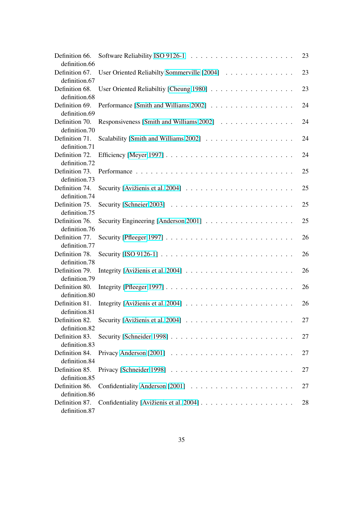| Definition 66.                  |                                             | 23 |
|---------------------------------|---------------------------------------------|----|
| definition.66                   |                                             |    |
| Definition 67.                  | User Oriented Reliabilty Sommerville [2004] | 23 |
| definition.67                   |                                             |    |
| Definition 68.                  | User Oriented Reliabiltiy [Cheung 1980]     | 23 |
| definition.68                   |                                             |    |
| Definition 69.                  | Performance [Smith and Williams 2002]       | 24 |
| definition.69                   |                                             |    |
| Definition 70.                  | Responsiveness [Smith and Williams 2002]    | 24 |
| definition.70                   |                                             |    |
| Definition 71.                  |                                             | 24 |
| definition.71                   |                                             |    |
| Definition 72.                  |                                             | 24 |
| definition.72                   |                                             |    |
| Definition 73.                  |                                             | 25 |
| definition.73                   |                                             |    |
| Definition 74.                  |                                             | 25 |
| definition.74                   |                                             |    |
| Definition 75.                  |                                             | 25 |
| definition.75                   |                                             |    |
| Definition 76.                  |                                             | 25 |
| definition.76                   |                                             |    |
| Definition 77.                  |                                             | 26 |
| definition.77                   |                                             |    |
| Definition 78.                  |                                             | 26 |
| definition.78                   |                                             |    |
| Definition 79.                  |                                             | 26 |
| definition.79                   |                                             |    |
| Definition 80.<br>definition.80 |                                             | 26 |
| Definition 81.                  |                                             | 26 |
| definition.81                   |                                             |    |
| Definition 82.                  |                                             | 27 |
| definition.82                   |                                             |    |
| Definition 83.                  |                                             | 27 |
| definition.83                   |                                             |    |
| Definition 84.                  |                                             | 27 |
| definition.84                   |                                             |    |
| Definition 85.                  |                                             | 27 |
| definition.85                   |                                             |    |
| Definition 86.                  |                                             | 27 |
| definition.86                   |                                             |    |
| Definition 87.                  |                                             | 28 |
| definition.87                   |                                             |    |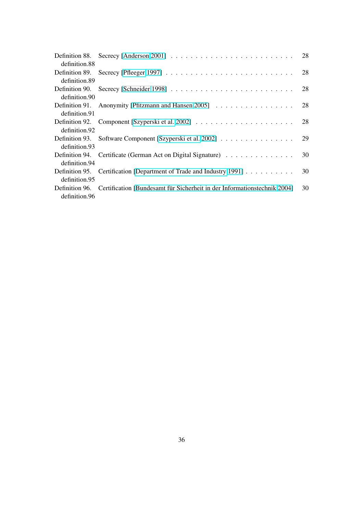|               | Definition 88. Secrecy [Anderson 2001] $\ldots \ldots \ldots \ldots \ldots \ldots \ldots \ldots \ldots$ 28 |    |
|---------------|------------------------------------------------------------------------------------------------------------|----|
| definition.88 |                                                                                                            |    |
|               |                                                                                                            |    |
| definition.89 |                                                                                                            |    |
|               |                                                                                                            |    |
| definition.90 |                                                                                                            |    |
|               |                                                                                                            | 28 |
| definition.91 |                                                                                                            |    |
|               |                                                                                                            |    |
| definition.92 |                                                                                                            |    |
|               |                                                                                                            | 29 |
| definition.93 |                                                                                                            |    |
|               |                                                                                                            | 30 |
| definition.94 |                                                                                                            |    |
|               | Definition 95. Certification [Department of Trade and Industry 1991]                                       | 30 |
| definition.95 |                                                                                                            |    |
|               | Definition 96. Certification [Bundesamt für Sicherheit in der Informationstechnik 2004]                    | 30 |
| definition.96 |                                                                                                            |    |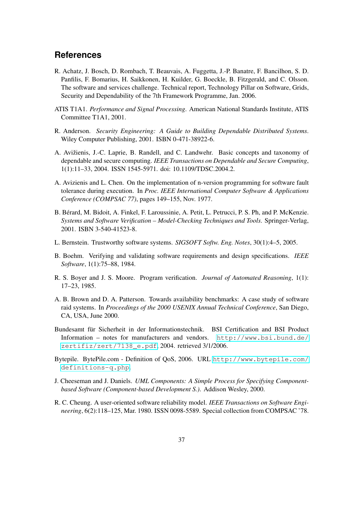## <span id="page-36-0"></span>**References**

- R. Achatz, J. Bosch, D. Rombach, T. Beauvais, A. Fuggetta, J.-P. Banatre, F. Bancilhon, S. D. Panfilis, F. Bomarius, H. Saikkonen, H. Kuilder, G. Boeckle, B. Fitzgerald, and C. Olsson. The software and services challenge. Technical report, Technology Pillar on Software, Grids, Security and Dependability of the 7th Framework Programme, Jan. 2006.
- ATIS T1A1. *Performance and Signal Processing*. American National Standards Institute, ATIS Committee T1A1, 2001.
- R. Anderson. *Security Engineering: A Guide to Building Dependable Distributed Systems*. Wiley Computer Publishing, 2001. ISBN 0-471-38922-6.
- A. Avižienis, J.-C. Laprie, B. Randell, and C. Landwehr. Basic concepts and taxonomy of dependable and secure computing. *IEEE Transactions on Dependable and Secure Computing*, 1(1):11–33, 2004. ISSN 1545-5971. doi: 10.1109/TDSC.2004.2.
- A. Avizienis and L. Chen. On the implementation of n-version programming for software fault tolerance during execution. In *Proc. IEEE International Computer Software & Applications Conference (COMPSAC 77)*, pages 149–155, Nov. 1977.
- B. Bérard, M. Bidoit, A. Finkel, F. Laroussinie, A. Petit, L. Petrucci, P. S. Ph, and P. McKenzie. *Systems and Software Verification – Model-Checking Techniques and Tools*. Springer-Verlag, 2001. ISBN 3-540-41523-8.
- L. Bernstein. Trustworthy software systems. *SIGSOFT Softw. Eng. Notes*, 30(1):4–5, 2005.
- B. Boehm. Verifying and validating software requirements and design specifications. *IEEE Software*, 1(1):75–88, 1984.
- R. S. Boyer and J. S. Moore. Program verification. *Journal of Automated Reasoning*, 1(1): 17–23, 1985.
- A. B. Brown and D. A. Patterson. Towards availability benchmarks: A case study of software raid systems. In *Proceedings of the 2000 USENIX Annual Technical Conference*, San Diego, CA, USA, June 2000.
- Bundesamt für Sicherheit in der Informationstechnik. BSI Certification and BSI Product Information – notes for manufacturers and vendors. http://www.bsi.bund.de/ zertifiz/zert/7138\_e.pdf, 2004. retrieved 3/1/2006.
- Bytepile. BytePile.com Definition of QoS, 2006. URL http://www.bytepile.com/ definitions-q.php.
- J. [Cheeseman and J. Daniels.](http://www.bsi.bund.de/zertifiz/zert/7138_e.pdf) *UML Components: A Simple Process for Specifying Componentbased Software (Component-based Development S.)*. Ad[dison Wesley, 2000.](http://www.bytepile.com/definitions-q.php)
- R[. C. Cheung. A user-oriente](http://www.bytepile.com/definitions-q.php)d software reliability model. *IEEE Transactions on Software Engineering*, 6(2):118–125, Mar. 1980. ISSN 0098-5589. Special collection from COMPSAC '78.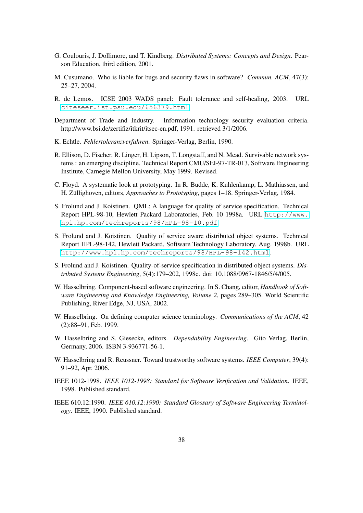- <span id="page-37-0"></span>G. Coulouris, J. Dollimore, and T. Kindberg. *Distributed Systems: Concepts and Design*. Pearson Education, third edition, 2001.
- M. Cusumano. Who is liable for bugs and security flaws in software? *Commun. ACM*, 47(3): 25–27, 2004.
- R. de Lemos. ICSE 2003 WADS panel: Fault tolerance and self-healing, 2003. URL citeseer.ist.psu.edu/656379.html.
- Department of Trade and Industry. Information technology security evaluation criteria. http://www.bsi.de/zertifiz/itkrit/itsec-en.pdf, 1991. retrieved 3/1/2006.
- K. Echtle. *[Fehlertoleranzverfahren](citeseer.ist.psu.edu/656379.html)*. Springer-Verlag, Berlin, 1990.
- R. Ellison, D. Fischer, R. Linger, H. Lipson, T. Longstaff, and N. Mead. Survivable network systems : an emerging discipline. Technical Report CMU/SEI-97-TR-013, Software Engineering Institute, Carnegie Mellon University, May 1999. Revised.
- C. Floyd. A systematic look at prototyping. In R. Budde, K. Kuhlenkamp, L. Mathiassen, and H. Züllighoven, editors, *Approaches to Prototyping*, pages 1–18. Springer-Verlag, 1984.
- S. Frolund and J. Koistinen. QML: A language for quality of service specification. Technical Report HPL-98-10, Hewlett Packard Laboratories, Feb. 10 1998a. URL http://www. hpl.hp.com/techreports/98/HPL-98-10.pdf.
- S. Frolund and J. Koistinen. Quality of service aware distributed object systems. Technical Report HPL-98-142, Hewlett Packard, Software Technology Laboratory, A[ug. 1998b. URL](http://www.hpl.hp.com/techreports/98/HPL-98-10.pdf) [http://www.hpl.hp.com/techreports/98/HPL](http://www.hpl.hp.com/techreports/98/HPL-98-10.pdf)-98-142.html.
- S. Frolund and J. Koistinen. Quality-of-service specification in distributed object systems. *Distributed Systems Engineering*, 5(4):179–202, 1998c. doi: 10.1088/0967-1846/5/4/005.
- [W. Hasselbring. Component-based software engineering. In S. Chang, editor,](http://www.hpl.hp.com/techreports/98/HPL-98-142.html) *Handbook of Software Engineering and Knowledge Engineering, Volume 2*, pages 289–305. World Scientific Publishing, River Edge, NJ, USA, 2002.
- W. Hasselbring. On defining computer science terminology. *Communications of the ACM*, 42 (2):88–91, Feb. 1999.
- W. Hasselbring and S. Giesecke, editors. *Dependability Engineering*. Gito Verlag, Berlin, Germany, 2006. ISBN 3-936771-56-1.
- W. Hasselbring and R. Reussner. Toward trustworthy software systems. *IEEE Computer*, 39(4): 91–92, Apr. 2006.
- IEEE 1012-1998. *IEEE 1012-1998: Standard for Software Verification and Validation*. IEEE, 1998. Published standard.
- IEEE 610.12:1990. *IEEE 610.12:1990: Standard Glossary of Software Engineering Terminology*. IEEE, 1990. Published standard.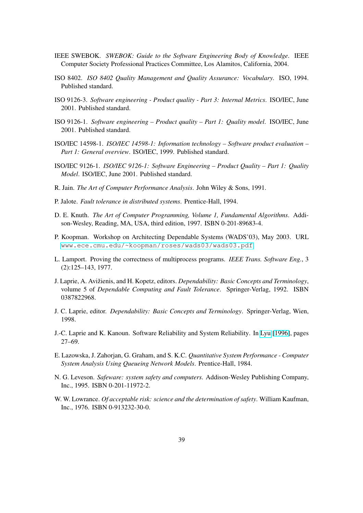- <span id="page-38-0"></span>IEEE SWEBOK. *SWEBOK: Guide to the Software Engineering Body of Knowledge*. IEEE Computer Society Professional Practices Committee, Los Alamitos, California, 2004.
- ISO 8402. *ISO 8402 Quality Management and Quality Assurance: Vocabulary*. ISO, 1994. Published standard.
- ISO 9126-3. *Software engineering Product quality Part 3: Internal Metrics*. ISO/IEC, June 2001. Published standard.
- ISO 9126-1. *Software engineering Product quality Part 1: Quality model*. ISO/IEC, June 2001. Published standard.
- ISO/IEC 14598-1. *ISO/IEC 14598-1: Information technology Software product evaluation – Part 1: General overview*. ISO/IEC, 1999. Published standard.
- ISO/IEC 9126-1. *ISO/IEC 9126-1: Software Engineering Product Quality Part 1: Quality Model*. ISO/IEC, June 2001. Published standard.
- R. Jain. *The Art of Computer Performance Analysis*. John Wiley & Sons, 1991.
- P. Jalote. *Fault tolerance in distributed systems*. Prentice-Hall, 1994.
- D. E. Knuth. *The Art of Computer Programming, Volume 1, Fundamental Algorithms*. Addison-Wesley, Reading, MA, USA, third edition, 1997. ISBN 0-201-89683-4.
- P. Koopman. Workshop on Architecting Dependable Systems (WADS'03), May 2003. URL www.ece.cmu.edu/~koopman/roses/wads03/wads03.pdf.
- L. Lamport. Proving the correctness of multiprocess programs. *IEEE Trans. Software Eng.*, 3 (2):125–143, 1977.
- J. [Laprie, A. Avižienis, and H. Kopetz, editors.](www.ece.cmu.edu/~koopman/roses/wads03/wads03.pdf) *Dependability: Basic Concepts and Terminology*, volume 5 of *Dependable Computing and Fault Tolerance*. Springer-Verlag, 1992. ISBN 0387822968.
- J. C. Laprie, editor. *Dependability: Basic Concepts and Terminology*. Springer-Verlag, Wien, 1998.
- J.-C. Laprie and K. Kanoun. Software Reliability and System Reliability. In Lyu [1996], pages 27–69.
- E. Lazowska, J. Zahorjan, G. Graham, and S. K.C. *Quantitative System Performance Computer System Analysis Using Queueing Network Models*. Prentice-Hall, 1984.
- N. G. Leveson. *Safeware: system safety and computers*. Addison-Wesley Publishing Company, Inc., 1995. ISBN 0-201-11972-2.
- W. W. Lowrance. *Of acceptable risk: science and the determination of safety*. William Kaufman, Inc., 1976. ISBN 0-913232-30-0.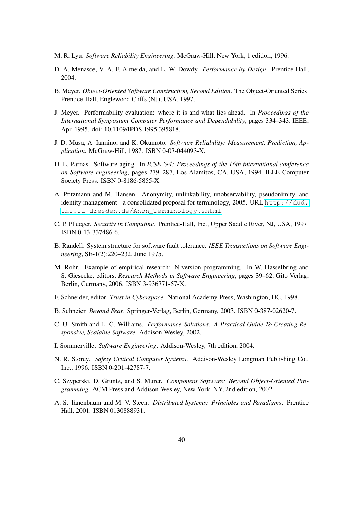- <span id="page-39-0"></span>M. R. Lyu. *Software Reliability Engineering*. McGraw-Hill, New York, 1 edition, 1996.
- D. A. Menasce, V. A. F. Almeida, and L. W. Dowdy. *Performance by Design*. Prentice Hall, 2004.
- B. Meyer. *Object-Oriented Software Construction, Second Edition*. The Object-Oriented Series. Prentice-Hall, Englewood Cliffs (NJ), USA, 1997.
- J. Meyer. Performability evaluation: where it is and what lies ahead. In *Proceedings of the International Symposium Computer Performance and Dependability*, pages 334–343. IEEE, Apr. 1995. doi: 10.1109/IPDS.1995.395818.
- J. D. Musa, A. Iannino, and K. Okumoto. *Software Reliability: Measurement, Prediction, Application*. McGraw-Hill, 1987. ISBN 0-07-044093-X.
- D. L. Parnas. Software aging. In *ICSE '94: Proceedings of the 16th international conference on Software engineering*, pages 279–287, Los Alamitos, CA, USA, 1994. IEEE Computer Society Press. ISBN 0-8186-5855-X.
- A. Pfitzmann and M. Hansen. Anonymity, unlinkability, unobservability, pseudonimity, and identity management - a consolidated proposal for terminology, 2005. URL http://dud. inf.tu-dresden.de/Anon\_Terminology.shtml.
- C. P. Pfleeger. *Security in Computing*. Prentice-Hall, Inc., Upper Saddle River, NJ, USA, 1997. ISBN 0-13-337486-6.
- B[. Randell. System structure for software fault tolerance.](http://dud.inf.tu-dresden.de/Anon_Terminology.shtml) *IEEE Transactions on Software Engineering*, SE-1(2):220–232, June 1975.
- M. Rohr. Example of empirical research: N-version programming. In W. Hasselbring and S. Giesecke, editors, *Research Methods in Software Engineering*, pages 39–62. Gito Verlag, Berlin, Germany, 2006. ISBN 3-936771-57-X.
- F. Schneider, editor. *Trust in Cyberspace*. National Academy Press, Washington, DC, 1998.
- B. Schneier. *Beyond Fear*. Springer-Verlag, Berlin, Germany, 2003. ISBN 0-387-02620-7.
- C. U. Smith and L. G. Williams. *Performance Solutions: A Practical Guide To Creating Responsive, Scalable Software*. Addison-Wesley, 2002.
- I. Sommerville. *Software Engineering*. Addison-Wesley, 7th edition, 2004.
- N. R. Storey. *Safety Critical Computer Systems*. Addison-Wesley Longman Publishing Co., Inc., 1996. ISBN 0-201-42787-7.
- C. Szyperski, D. Gruntz, and S. Murer. *Component Software: Beyond Object-Oriented Programming*. ACM Press and Addison-Wesley, New York, NY, 2nd edition, 2002.
- A. S. Tanenbaum and M. V. Steen. *Distributed Systems: Principles and Paradigms*. Prentice Hall, 2001. ISBN 0130888931.